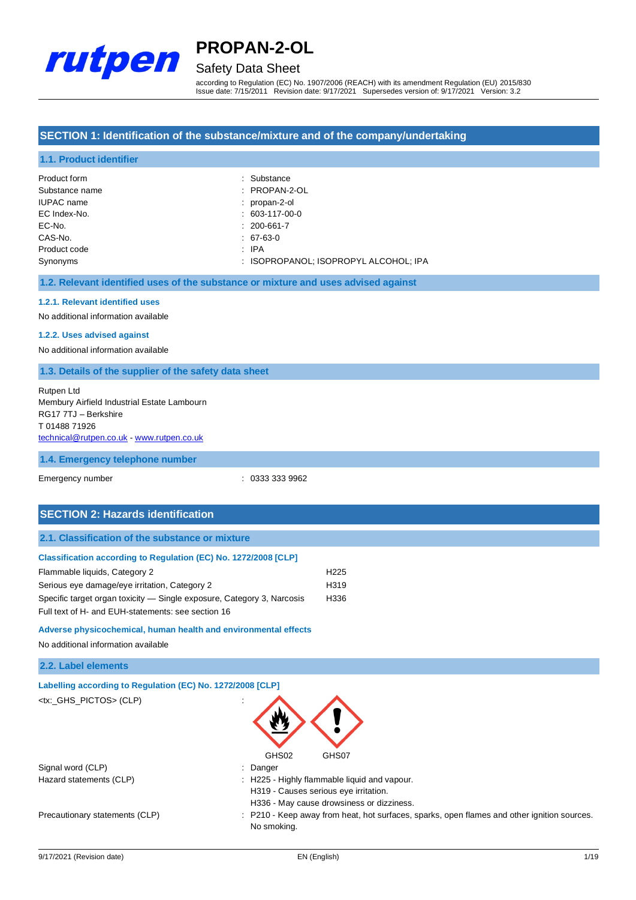

## Safety Data Sheet

according to Regulation (EC) No. 1907/2006 (REACH) with its amendment Regulation (EU) 2015/830 Issue date: 7/15/2011 Revision date: 9/17/2021 Supersedes version of: 9/17/2021 Version: 3.2

### **SECTION 1: Identification of the substance/mixture and of the company/undertaking**

### **1.1. Product identifier**

| Product form      | : Substance                           |
|-------------------|---------------------------------------|
| Substance name    | $:$ PROPAN-2-OL                       |
| <b>IUPAC</b> name | : propan-2-ol                         |
| EC Index-No.      | $: 603-117-00-0$                      |
| EC-No.            | $: 200 - 661 - 7$                     |
| CAS-No.           | $: 67-63-0$                           |
| Product code      | : IPA                                 |
| Synonyms          | : ISOPROPANOL: ISOPROPYL ALCOHOL: IPA |

### **1.2. Relevant identified uses of the substance or mixture and uses advised against**

### **1.2.1. Relevant identified uses**

No additional information available

### **1.2.2. Uses advised against**

No additional information available

#### **1.3. Details of the supplier of the safety data sheet**

| Rutpen Ltd                                  |
|---------------------------------------------|
| Membury Airfield Industrial Estate Lambourn |
| RG17 7TJ - Berkshire                        |
| T0148871926                                 |
| technical@rutpen.co.uk - www.rutpen.co.uk   |

#### **1.4. Emergency telephone number**

Emergency number : 0333 333 9962

### **SECTION 2: Hazards identification**

### **Classification according to Regulation (EC) No. 1272/2008 [CLP]** Flammable liquids, Category 2 H225 Serious eye damage/eye irritation, Category 2 <br>
H319

| Specific target organ toxicity — Single exposure, Category 3, Narcosis | H336 |
|------------------------------------------------------------------------|------|
| Full text of H- and EUH-statements: see section 16                     |      |

#### **Adverse physicochemical, human health and environmental effects**

No additional information available

### **2.2. Label elements**

| Labelling according to Regulation (EC) No. 1272/2008 [CLP] |                                                                                       |
|------------------------------------------------------------|---------------------------------------------------------------------------------------|
| <tx: ghs="" pictos=""> (CLP)</tx:>                         | ٠<br>$\mathbf{r}$                                                                     |
|                                                            | GHS02<br>GHS07                                                                        |
| Signal word (CLP)                                          | Danger<br>÷                                                                           |
| Hazard statements (CLP)                                    | : H225 - Highly flammable liquid and vapour.<br>H319 - Causes serious eye irritation. |

Precautionary statements (CLP) : P210 - Keep away from heat, hot surfaces, sparks, open flames and other ignition sources.

No smoking.

H336 - May cause drowsiness or dizziness.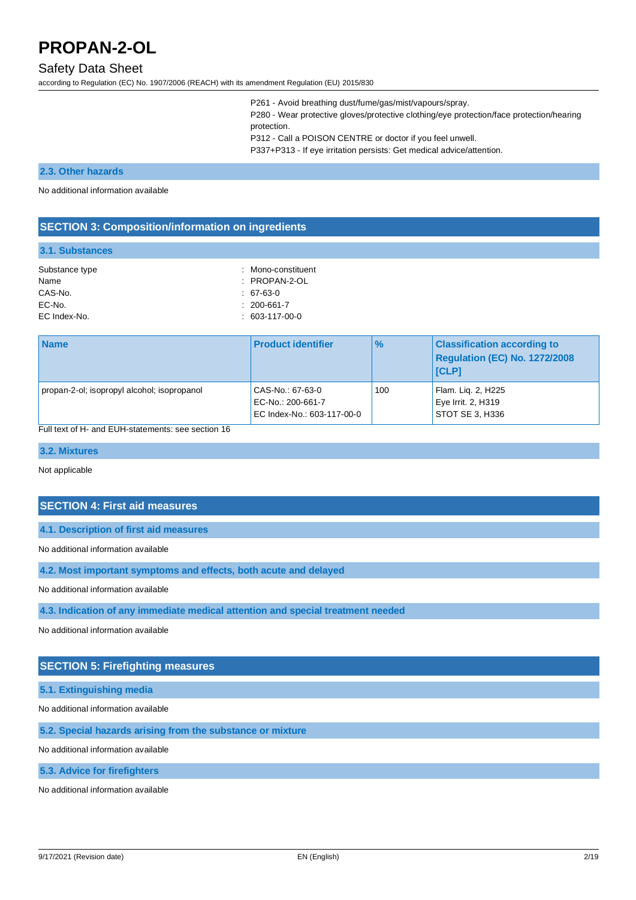### Safety Data Sheet

according to Regulation (EC) No. 1907/2006 (REACH) with its amendment Regulation (EU) 2015/830

P261 - Avoid breathing dust/fume/gas/mist/vapours/spray. P280 - Wear protective gloves/protective clothing/eye protection/face protection/hearing protection. P312 - Call a POISON CENTRE or doctor if you feel unwell. P337+P313 - If eye irritation persists: Get medical advice/attention.

#### **2.3. Other hazards**

No additional information available

### **SECTION 3: Composition/information on ingredients**

#### **3.1. Substances**

| Substance type | : Mono-constituent     |
|----------------|------------------------|
| Name           | $:$ PROPAN-2-OL        |
| CAS-No.        | $: 67-63-0$            |
| EC-No.         | $: 200 - 661 - 7$      |
| EC Index-No.   | $: 603 - 117 - 00 - 0$ |

| <b>Name</b>                                 | <b>Product identifier</b>                                           | $\frac{9}{6}$ | <b>Classification according to</b><br>Regulation (EC) No. 1272/2008<br><b>ICLP1</b> |
|---------------------------------------------|---------------------------------------------------------------------|---------------|-------------------------------------------------------------------------------------|
| propan-2-ol; isopropyl alcohol; isopropanol | CAS-No.: 67-63-0<br>EC-No.: 200-661-7<br>EC Index-No.: 603-117-00-0 | 100           | Flam. Lig. 2, H225<br>Eye Irrit. 2, H319<br>STOT SE 3, H336                         |

Full text of H- and EUH-statements: see section 16

### **3.2. Mixtures**

Not applicable

### **SECTION 4: First aid measures**

**4.1. Description of first aid measures**

#### No additional information available

**4.2. Most important symptoms and effects, both acute and delayed**

No additional information available

**4.3. Indication of any immediate medical attention and special treatment needed**

No additional information available

### **SECTION 5: Firefighting measures**

**5.1. Extinguishing media**

No additional information available

**5.2. Special hazards arising from the substance or mixture**

No additional information available

**5.3. Advice for firefighters**

No additional information available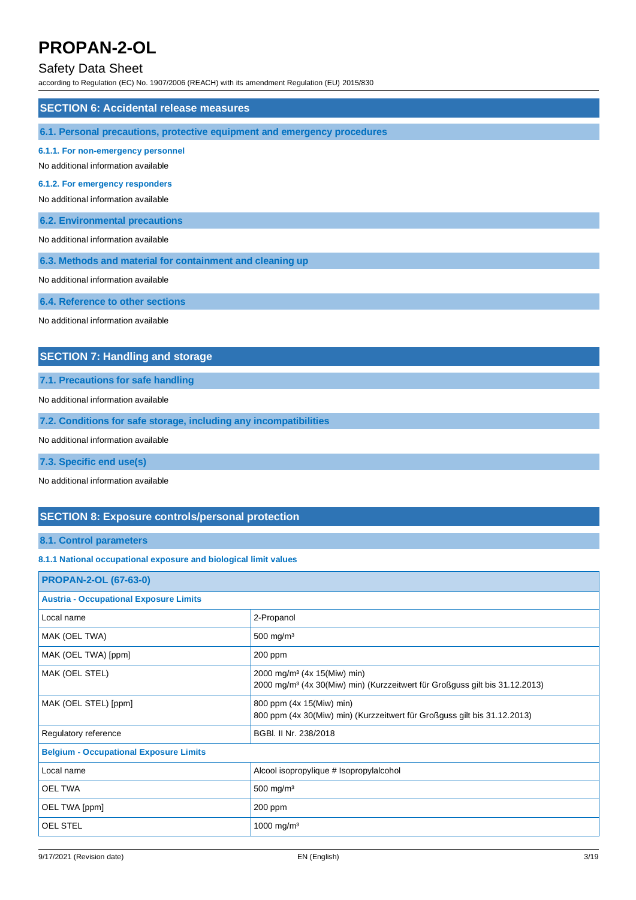### Safety Data Sheet

according to Regulation (EC) No. 1907/2006 (REACH) with its amendment Regulation (EU) 2015/830

| <b>SECTION 6: Accidental release measures</b>                             |
|---------------------------------------------------------------------------|
| 6.1. Personal precautions, protective equipment and emergency procedures  |
| 6.1.1. For non-emergency personnel<br>No additional information available |
| 6.1.2. For emergency responders<br>No additional information available    |
| <b>6.2. Environmental precautions</b>                                     |
| No additional information available                                       |
| 6.3. Methods and material for containment and cleaning up                 |
| No additional information available                                       |
| 6.4. Reference to other sections                                          |
| No additional information available                                       |
| <b>SECTION 7: Handling and storage</b>                                    |
| 7.1. Precautions for safe handling                                        |
| No additional information available                                       |

**7.2. Conditions for safe storage, including any incompatibilities**

No additional information available

**7.3. Specific end use(s)**

No additional information available

### **SECTION 8: Exposure controls/personal protection**

### **8.1. Control parameters**

### **8.1.1 National occupational exposure and biological limit values**

| <b>PROPAN-2-OL (67-63-0)</b>                  |                                                                                                                                    |  |
|-----------------------------------------------|------------------------------------------------------------------------------------------------------------------------------------|--|
| <b>Austria - Occupational Exposure Limits</b> |                                                                                                                                    |  |
| Local name                                    | 2-Propanol                                                                                                                         |  |
| MAK (OEL TWA)                                 | 500 mg/m <sup>3</sup>                                                                                                              |  |
| MAK (OEL TWA) [ppm]                           | 200 ppm                                                                                                                            |  |
| MAK (OEL STEL)                                | 2000 mg/m <sup>3</sup> (4x 15(Miw) min)<br>2000 mg/m <sup>3</sup> (4x 30(Miw) min) (Kurzzeitwert für Großguss gilt bis 31.12.2013) |  |
| MAK (OEL STEL) [ppm]                          | 800 ppm (4x 15(Miw) min)<br>800 ppm (4x 30(Miw) min) (Kurzzeitwert für Großguss gilt bis 31.12.2013)                               |  |
| Regulatory reference                          | BGBI, II Nr. 238/2018                                                                                                              |  |
| <b>Belgium - Occupational Exposure Limits</b> |                                                                                                                                    |  |
| Local name                                    | Alcool isopropylique # Isopropylalcohol                                                                                            |  |
| <b>OEL TWA</b>                                | $500$ mg/m <sup>3</sup>                                                                                                            |  |
| OEL TWA [ppm]                                 | 200 ppm                                                                                                                            |  |
| OEL STEL                                      | 1000 mg/m <sup>3</sup>                                                                                                             |  |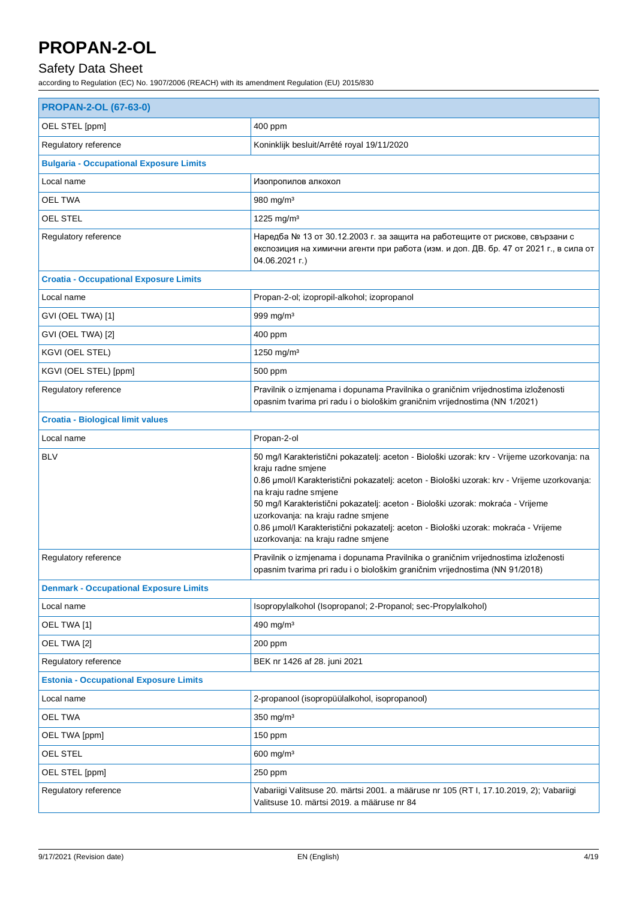### Safety Data Sheet

| <b>PROPAN-2-OL (67-63-0)</b>                   |                                                                                                                                                                                                                                                                                                                                                                                                                                                                                                  |  |  |
|------------------------------------------------|--------------------------------------------------------------------------------------------------------------------------------------------------------------------------------------------------------------------------------------------------------------------------------------------------------------------------------------------------------------------------------------------------------------------------------------------------------------------------------------------------|--|--|
| OEL STEL [ppm]                                 | 400 ppm                                                                                                                                                                                                                                                                                                                                                                                                                                                                                          |  |  |
| Regulatory reference                           | Koninklijk besluit/Arrêté royal 19/11/2020                                                                                                                                                                                                                                                                                                                                                                                                                                                       |  |  |
| <b>Bulgaria - Occupational Exposure Limits</b> |                                                                                                                                                                                                                                                                                                                                                                                                                                                                                                  |  |  |
| Local name                                     | Изопропилов алкохол                                                                                                                                                                                                                                                                                                                                                                                                                                                                              |  |  |
| <b>OEL TWA</b>                                 | 980 mg/m <sup>3</sup>                                                                                                                                                                                                                                                                                                                                                                                                                                                                            |  |  |
| <b>OEL STEL</b>                                | 1225 mg/m <sup>3</sup>                                                                                                                                                                                                                                                                                                                                                                                                                                                                           |  |  |
| Regulatory reference                           | Наредба № 13 от 30.12.2003 г. за защита на работещите от рискове, свързани с<br>експозиция на химични агенти при работа (изм. и доп. ДВ. бр. 47 от 2021 г., в сила от<br>04.06.2021 г.)                                                                                                                                                                                                                                                                                                          |  |  |
| <b>Croatia - Occupational Exposure Limits</b>  |                                                                                                                                                                                                                                                                                                                                                                                                                                                                                                  |  |  |
| Local name                                     | Propan-2-ol; izopropil-alkohol; izopropanol                                                                                                                                                                                                                                                                                                                                                                                                                                                      |  |  |
| GVI (OEL TWA) [1]                              | 999 mg/m <sup>3</sup>                                                                                                                                                                                                                                                                                                                                                                                                                                                                            |  |  |
| GVI (OEL TWA) [2]                              | 400 ppm                                                                                                                                                                                                                                                                                                                                                                                                                                                                                          |  |  |
| KGVI (OEL STEL)                                | 1250 mg/m <sup>3</sup>                                                                                                                                                                                                                                                                                                                                                                                                                                                                           |  |  |
| KGVI (OEL STEL) [ppm]                          | 500 ppm                                                                                                                                                                                                                                                                                                                                                                                                                                                                                          |  |  |
| Regulatory reference                           | Pravilnik o izmjenama i dopunama Pravilnika o graničnim vrijednostima izloženosti<br>opasnim tvarima pri radu i o biološkim graničnim vrijednostima (NN 1/2021)                                                                                                                                                                                                                                                                                                                                  |  |  |
| <b>Croatia - Biological limit values</b>       |                                                                                                                                                                                                                                                                                                                                                                                                                                                                                                  |  |  |
| Local name                                     | Propan-2-ol                                                                                                                                                                                                                                                                                                                                                                                                                                                                                      |  |  |
| <b>BLV</b>                                     | 50 mg/l Karakteristični pokazatelj: aceton - Biološki uzorak: krv - Vrijeme uzorkovanja: na<br>kraju radne smjene<br>0.86 µmol/l Karakteristični pokazatelj: aceton - Biološki uzorak: krv - Vrijeme uzorkovanja:<br>na kraju radne smjene<br>50 mg/l Karakteristični pokazatelj: aceton - Biološki uzorak: mokraća - Vrijeme<br>uzorkovanja: na kraju radne smjene<br>0.86 µmol/l Karakteristični pokazatelj: aceton - Biološki uzorak: mokraća - Vrijeme<br>uzorkovanja: na kraju radne smjene |  |  |
| Regulatory reference                           | Pravilnik o izmjenama i dopunama Pravilnika o graničnim vrijednostima izloženosti<br>opasnim tvarima pri radu i o biološkim graničnim vrijednostima (NN 91/2018)                                                                                                                                                                                                                                                                                                                                 |  |  |
| <b>Denmark - Occupational Exposure Limits</b>  |                                                                                                                                                                                                                                                                                                                                                                                                                                                                                                  |  |  |
| Local name                                     | Isopropylalkohol (Isopropanol; 2-Propanol; sec-Propylalkohol)                                                                                                                                                                                                                                                                                                                                                                                                                                    |  |  |
| OEL TWA [1]                                    | 490 mg/m <sup>3</sup>                                                                                                                                                                                                                                                                                                                                                                                                                                                                            |  |  |
| OEL TWA [2]                                    | 200 ppm                                                                                                                                                                                                                                                                                                                                                                                                                                                                                          |  |  |
| Regulatory reference                           | BEK nr 1426 af 28. juni 2021                                                                                                                                                                                                                                                                                                                                                                                                                                                                     |  |  |
| <b>Estonia - Occupational Exposure Limits</b>  |                                                                                                                                                                                                                                                                                                                                                                                                                                                                                                  |  |  |
| Local name                                     | 2-propanool (isopropüülalkohol, isopropanool)                                                                                                                                                                                                                                                                                                                                                                                                                                                    |  |  |
| <b>OEL TWA</b>                                 | 350 mg/m <sup>3</sup>                                                                                                                                                                                                                                                                                                                                                                                                                                                                            |  |  |
| OEL TWA [ppm]                                  | 150 ppm                                                                                                                                                                                                                                                                                                                                                                                                                                                                                          |  |  |
| OEL STEL                                       | 600 mg/m $3$                                                                                                                                                                                                                                                                                                                                                                                                                                                                                     |  |  |
| OEL STEL [ppm]                                 | 250 ppm                                                                                                                                                                                                                                                                                                                                                                                                                                                                                          |  |  |
| Regulatory reference                           | Vabariigi Valitsuse 20. märtsi 2001. a määruse nr 105 (RT I, 17.10.2019, 2); Vabariigi<br>Valitsuse 10. märtsi 2019. a määruse nr 84                                                                                                                                                                                                                                                                                                                                                             |  |  |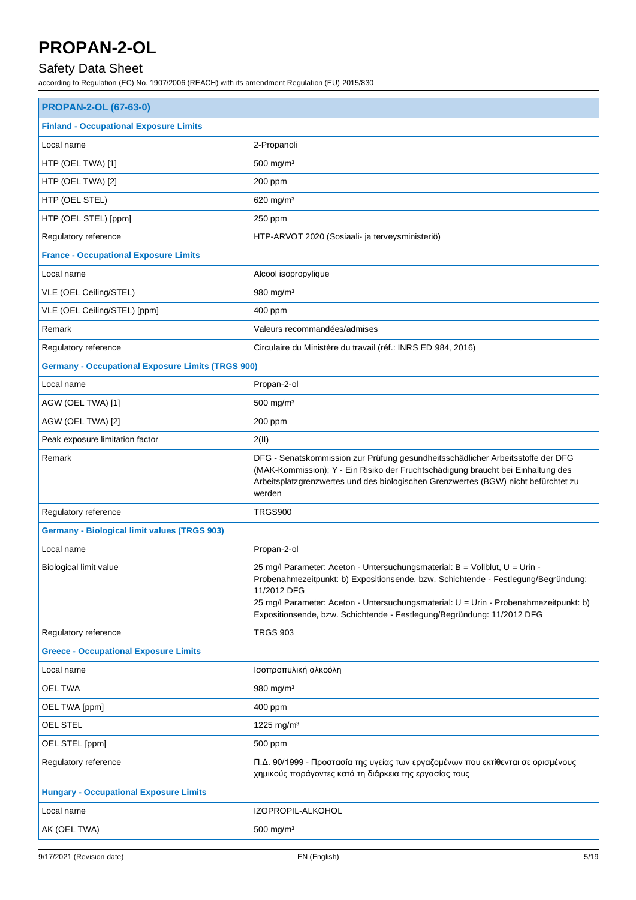## Safety Data Sheet

| <b>PROPAN-2-OL (67-63-0)</b>                             |                                                                                                                                                                                                                                                                                                                                                     |  |
|----------------------------------------------------------|-----------------------------------------------------------------------------------------------------------------------------------------------------------------------------------------------------------------------------------------------------------------------------------------------------------------------------------------------------|--|
| <b>Finland - Occupational Exposure Limits</b>            |                                                                                                                                                                                                                                                                                                                                                     |  |
| Local name                                               | 2-Propanoli                                                                                                                                                                                                                                                                                                                                         |  |
| HTP (OEL TWA) [1]                                        | 500 mg/m <sup>3</sup>                                                                                                                                                                                                                                                                                                                               |  |
| HTP (OEL TWA) [2]                                        | 200 ppm                                                                                                                                                                                                                                                                                                                                             |  |
| HTP (OEL STEL)                                           | 620 mg/m <sup>3</sup>                                                                                                                                                                                                                                                                                                                               |  |
| HTP (OEL STEL) [ppm]                                     | 250 ppm                                                                                                                                                                                                                                                                                                                                             |  |
| Regulatory reference                                     | HTP-ARVOT 2020 (Sosiaali- ja terveysministeriö)                                                                                                                                                                                                                                                                                                     |  |
| <b>France - Occupational Exposure Limits</b>             |                                                                                                                                                                                                                                                                                                                                                     |  |
| Local name                                               | Alcool isopropylique                                                                                                                                                                                                                                                                                                                                |  |
| VLE (OEL Ceiling/STEL)                                   | 980 mg/m <sup>3</sup>                                                                                                                                                                                                                                                                                                                               |  |
| VLE (OEL Ceiling/STEL) [ppm]                             | 400 ppm                                                                                                                                                                                                                                                                                                                                             |  |
| Remark                                                   | Valeurs recommandées/admises                                                                                                                                                                                                                                                                                                                        |  |
| Regulatory reference                                     | Circulaire du Ministère du travail (réf.: INRS ED 984, 2016)                                                                                                                                                                                                                                                                                        |  |
| <b>Germany - Occupational Exposure Limits (TRGS 900)</b> |                                                                                                                                                                                                                                                                                                                                                     |  |
| Local name                                               | Propan-2-ol                                                                                                                                                                                                                                                                                                                                         |  |
| AGW (OEL TWA) [1]                                        | $500$ mg/m <sup>3</sup>                                                                                                                                                                                                                                                                                                                             |  |
| AGW (OEL TWA) [2]                                        | 200 ppm                                                                                                                                                                                                                                                                                                                                             |  |
| Peak exposure limitation factor                          | 2(II)                                                                                                                                                                                                                                                                                                                                               |  |
| Remark                                                   | DFG - Senatskommission zur Prüfung gesundheitsschädlicher Arbeitsstoffe der DFG<br>(MAK-Kommission); Y - Ein Risiko der Fruchtschädigung braucht bei Einhaltung des<br>Arbeitsplatzgrenzwertes und des biologischen Grenzwertes (BGW) nicht befürchtet zu<br>werden                                                                                 |  |
| Regulatory reference                                     | TRGS900                                                                                                                                                                                                                                                                                                                                             |  |
| <b>Germany - Biological limit values (TRGS 903)</b>      |                                                                                                                                                                                                                                                                                                                                                     |  |
| Local name                                               | Propan-2-ol                                                                                                                                                                                                                                                                                                                                         |  |
| Biological limit value                                   | 25 mg/l Parameter: Aceton - Untersuchungsmaterial: B = Vollblut, U = Urin -<br>Probenahmezeitpunkt: b) Expositionsende, bzw. Schichtende - Festlegung/Begründung:<br>11/2012 DFG<br>25 mg/l Parameter: Aceton - Untersuchungsmaterial: U = Urin - Probenahmezeitpunkt: b)<br>Expositionsende, bzw. Schichtende - Festlegung/Begründung: 11/2012 DFG |  |
| Regulatory reference                                     | <b>TRGS 903</b>                                                                                                                                                                                                                                                                                                                                     |  |
| <b>Greece - Occupational Exposure Limits</b>             |                                                                                                                                                                                                                                                                                                                                                     |  |
| Local name                                               | Ισοπροπυλική αλκοόλη                                                                                                                                                                                                                                                                                                                                |  |
| OEL TWA                                                  | 980 mg/m <sup>3</sup>                                                                                                                                                                                                                                                                                                                               |  |
| OEL TWA [ppm]                                            | 400 ppm                                                                                                                                                                                                                                                                                                                                             |  |
| OEL STEL                                                 | 1225 mg/m <sup>3</sup>                                                                                                                                                                                                                                                                                                                              |  |
| OEL STEL [ppm]                                           | 500 ppm                                                                                                                                                                                                                                                                                                                                             |  |
| Regulatory reference                                     | Π.Δ. 90/1999 - Προστασία της υγείας των εργαζομένων που εκτίθενται σε ορισμένους<br>χημικούς παράγοντες κατά τη διάρκεια της εργασίας τους                                                                                                                                                                                                          |  |
| <b>Hungary - Occupational Exposure Limits</b>            |                                                                                                                                                                                                                                                                                                                                                     |  |
| Local name                                               | IZOPROPIL-ALKOHOL                                                                                                                                                                                                                                                                                                                                   |  |
| AK (OEL TWA)                                             | 500 mg/m <sup>3</sup>                                                                                                                                                                                                                                                                                                                               |  |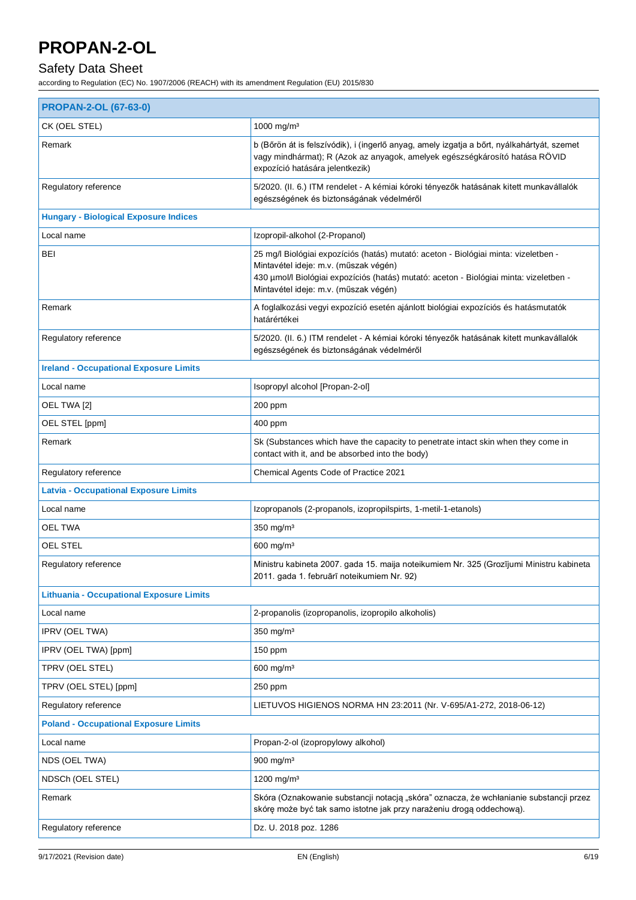## Safety Data Sheet

| <b>PROPAN-2-OL (67-63-0)</b>                    |                                                                                                                                                                                                                                                                 |  |
|-------------------------------------------------|-----------------------------------------------------------------------------------------------------------------------------------------------------------------------------------------------------------------------------------------------------------------|--|
| CK (OEL STEL)                                   | 1000 mg/m <sup>3</sup>                                                                                                                                                                                                                                          |  |
| Remark                                          | b (Bőrön át is felszívódik), i (ingerlő anyag, amely izgatja a bőrt, nyálkahártyát, szemet<br>vagy mindhármat); R (Azok az anyagok, amelyek egészségkárosító hatása RÖVID<br>expozíció hatására jelentkezik)                                                    |  |
| Regulatory reference                            | 5/2020. (II. 6.) ITM rendelet - A kémiai kóroki tényezők hatásának kitett munkavállalók<br>egészségének és biztonságának védelméről                                                                                                                             |  |
| <b>Hungary - Biological Exposure Indices</b>    |                                                                                                                                                                                                                                                                 |  |
| Local name                                      | Izopropil-alkohol (2-Propanol)                                                                                                                                                                                                                                  |  |
| BEI                                             | 25 mg/l Biológiai expozíciós (hatás) mutató: aceton - Biológiai minta: vizeletben -<br>Mintavétel ideje: m.v. (műszak végén)<br>430 µmol/l Biológiai expozíciós (hatás) mutató: aceton - Biológiai minta: vizeletben -<br>Mintavétel ideje: m.v. (műszak végén) |  |
| Remark                                          | A foglalkozási vegyi expozíció esetén ajánlott biológiai expozíciós és hatásmutatók<br>határértékei                                                                                                                                                             |  |
| Regulatory reference                            | 5/2020. (II. 6.) ITM rendelet - A kémiai kóroki tényezők hatásának kitett munkavállalók<br>egészségének és biztonságának védelméről                                                                                                                             |  |
| <b>Ireland - Occupational Exposure Limits</b>   |                                                                                                                                                                                                                                                                 |  |
| Local name                                      | Isopropyl alcohol [Propan-2-ol]                                                                                                                                                                                                                                 |  |
| OEL TWA [2]                                     | 200 ppm                                                                                                                                                                                                                                                         |  |
| OEL STEL [ppm]                                  | 400 ppm                                                                                                                                                                                                                                                         |  |
| Remark                                          | Sk (Substances which have the capacity to penetrate intact skin when they come in<br>contact with it, and be absorbed into the body)                                                                                                                            |  |
| Regulatory reference                            | Chemical Agents Code of Practice 2021                                                                                                                                                                                                                           |  |
| <b>Latvia - Occupational Exposure Limits</b>    |                                                                                                                                                                                                                                                                 |  |
| Local name                                      | Izopropanols (2-propanols, izopropilspirts, 1-metil-1-etanols)                                                                                                                                                                                                  |  |
| <b>OEL TWA</b>                                  | $350 \text{ mg/m}^3$                                                                                                                                                                                                                                            |  |
| OEL STEL                                        | 600 mg/m <sup>3</sup>                                                                                                                                                                                                                                           |  |
| Regulatory reference                            | Ministru kabineta 2007. gada 15. maija noteikumiem Nr. 325 (Grozījumi Ministru kabineta<br>2011. gada 1. februārī noteikumiem Nr. 92)                                                                                                                           |  |
| <b>Lithuania - Occupational Exposure Limits</b> |                                                                                                                                                                                                                                                                 |  |
| Local name                                      | 2-propanolis (izopropanolis, izopropilo alkoholis)                                                                                                                                                                                                              |  |
| <b>IPRV (OEL TWA)</b>                           | $350$ mg/m <sup>3</sup>                                                                                                                                                                                                                                         |  |
| IPRV (OEL TWA) [ppm]                            | 150 ppm                                                                                                                                                                                                                                                         |  |
| TPRV (OEL STEL)                                 | 600 mg/m <sup>3</sup>                                                                                                                                                                                                                                           |  |
| TPRV (OEL STEL) [ppm]                           | 250 ppm                                                                                                                                                                                                                                                         |  |
| Regulatory reference                            | LIETUVOS HIGIENOS NORMA HN 23:2011 (Nr. V-695/A1-272, 2018-06-12)                                                                                                                                                                                               |  |
| <b>Poland - Occupational Exposure Limits</b>    |                                                                                                                                                                                                                                                                 |  |
| Local name                                      | Propan-2-ol (izopropylowy alkohol)                                                                                                                                                                                                                              |  |
| NDS (OEL TWA)                                   | $900$ mg/m <sup>3</sup>                                                                                                                                                                                                                                         |  |
| NDSCh (OEL STEL)                                | 1200 mg/m <sup>3</sup>                                                                                                                                                                                                                                          |  |
| Remark                                          | Skóra (Oznakowanie substancji notacją "skóra" oznacza, że wchłanianie substancji przez<br>skórę może być tak samo istotne jak przy narażeniu drogą oddechową).                                                                                                  |  |
| Regulatory reference                            | Dz. U. 2018 poz. 1286                                                                                                                                                                                                                                           |  |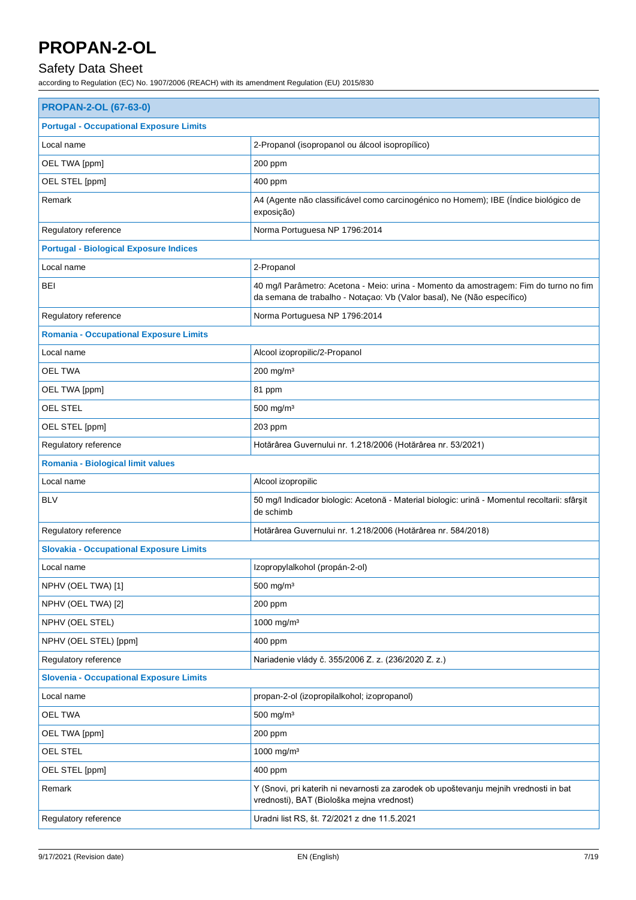## Safety Data Sheet

| <b>PROPAN-2-OL (67-63-0)</b>                   |                                                                                                                                                                 |  |
|------------------------------------------------|-----------------------------------------------------------------------------------------------------------------------------------------------------------------|--|
| <b>Portugal - Occupational Exposure Limits</b> |                                                                                                                                                                 |  |
| Local name                                     | 2-Propanol (isopropanol ou álcool isopropílico)                                                                                                                 |  |
| OEL TWA [ppm]                                  | 200 ppm                                                                                                                                                         |  |
| OEL STEL [ppm]                                 | 400 ppm                                                                                                                                                         |  |
| Remark                                         | A4 (Agente não classificável como carcinogénico no Homem); IBE (Índice biológico de<br>exposição)                                                               |  |
| Regulatory reference                           | Norma Portuguesa NP 1796:2014                                                                                                                                   |  |
| <b>Portugal - Biological Exposure Indices</b>  |                                                                                                                                                                 |  |
| Local name                                     | 2-Propanol                                                                                                                                                      |  |
| <b>BEI</b>                                     | 40 mg/l Parâmetro: Acetona - Meio: urina - Momento da amostragem: Fim do turno no fim<br>da semana de trabalho - Notaçao: Vb (Valor basal), Ne (Não específico) |  |
| Regulatory reference                           | Norma Portuguesa NP 1796:2014                                                                                                                                   |  |
| <b>Romania - Occupational Exposure Limits</b>  |                                                                                                                                                                 |  |
| Local name                                     | Alcool izopropilic/2-Propanol                                                                                                                                   |  |
| <b>OEL TWA</b>                                 | $200$ mg/m <sup>3</sup>                                                                                                                                         |  |
| OEL TWA [ppm]                                  | 81 ppm                                                                                                                                                          |  |
| <b>OEL STEL</b>                                | 500 mg/m <sup>3</sup>                                                                                                                                           |  |
| OEL STEL [ppm]                                 | 203 ppm                                                                                                                                                         |  |
| Regulatory reference                           | Hotărârea Guvernului nr. 1.218/2006 (Hotărârea nr. 53/2021)                                                                                                     |  |
| Romania - Biological limit values              |                                                                                                                                                                 |  |
| Local name                                     | Alcool izopropilic                                                                                                                                              |  |
| <b>BLV</b>                                     | 50 mg/l Indicador biologic: Acetonă - Material biologic: urină - Momentul recoltarii: sfârșit<br>de schimb                                                      |  |
| Regulatory reference                           | Hotărârea Guvernului nr. 1.218/2006 (Hotărârea nr. 584/2018)                                                                                                    |  |
| <b>Slovakia - Occupational Exposure Limits</b> |                                                                                                                                                                 |  |
| Local name                                     | Izopropylalkohol (propán-2-ol)                                                                                                                                  |  |
| NPHV (OEL TWA) [1]                             | 500 mg/m <sup>3</sup>                                                                                                                                           |  |
| NPHV (OEL TWA) [2]                             | 200 ppm                                                                                                                                                         |  |
| NPHV (OEL STEL)                                | 1000 mg/m <sup>3</sup>                                                                                                                                          |  |
| NPHV (OEL STEL) [ppm]                          | 400 ppm                                                                                                                                                         |  |
| Regulatory reference                           | Nariadenie vlády č. 355/2006 Z. z. (236/2020 Z. z.)                                                                                                             |  |
| <b>Slovenia - Occupational Exposure Limits</b> |                                                                                                                                                                 |  |
| Local name                                     | propan-2-ol (izopropilalkohol; izopropanol)                                                                                                                     |  |
| <b>OEL TWA</b>                                 | $500$ mg/m <sup>3</sup>                                                                                                                                         |  |
| OEL TWA [ppm]                                  | 200 ppm                                                                                                                                                         |  |
| OEL STEL                                       | 1000 mg/m <sup>3</sup>                                                                                                                                          |  |
| OEL STEL [ppm]                                 | 400 ppm                                                                                                                                                         |  |
| Remark                                         | Y (Snovi, pri katerih ni nevarnosti za zarodek ob upoštevanju mejnih vrednosti in bat<br>vrednosti), BAT (Biološka mejna vrednost)                              |  |
| Regulatory reference                           | Uradni list RS, št. 72/2021 z dne 11.5.2021                                                                                                                     |  |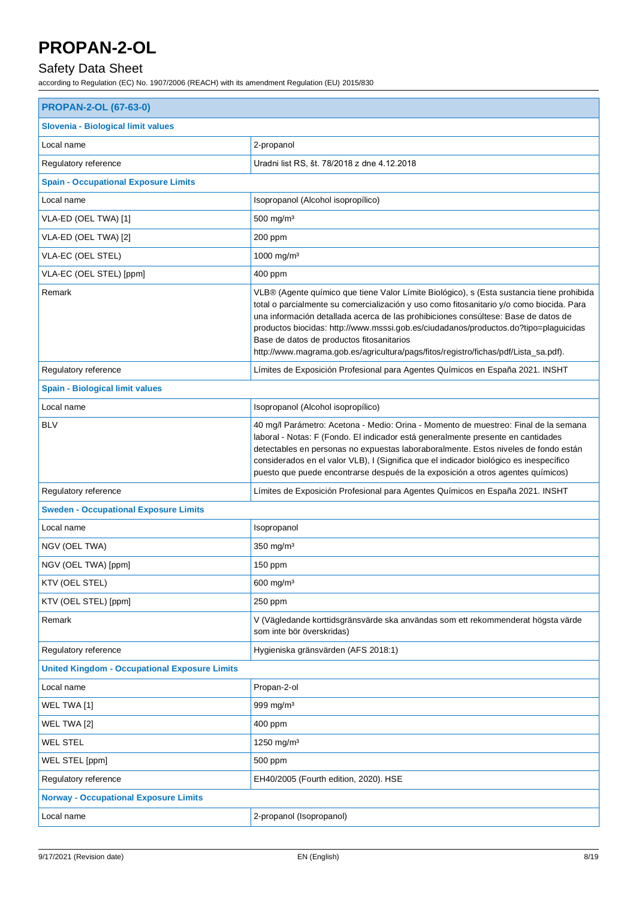## Safety Data Sheet

| <b>PROPAN-2-OL (67-63-0)</b>                         |                                                                                                                                                                                                                                                                                                                                                                                                                                                                                                         |  |
|------------------------------------------------------|---------------------------------------------------------------------------------------------------------------------------------------------------------------------------------------------------------------------------------------------------------------------------------------------------------------------------------------------------------------------------------------------------------------------------------------------------------------------------------------------------------|--|
| Slovenia - Biological limit values                   |                                                                                                                                                                                                                                                                                                                                                                                                                                                                                                         |  |
| Local name                                           | 2-propanol                                                                                                                                                                                                                                                                                                                                                                                                                                                                                              |  |
| Regulatory reference                                 | Uradni list RS, št. 78/2018 z dne 4.12.2018                                                                                                                                                                                                                                                                                                                                                                                                                                                             |  |
| <b>Spain - Occupational Exposure Limits</b>          |                                                                                                                                                                                                                                                                                                                                                                                                                                                                                                         |  |
| Local name                                           | Isopropanol (Alcohol isopropílico)                                                                                                                                                                                                                                                                                                                                                                                                                                                                      |  |
| VLA-ED (OEL TWA) [1]                                 | $500$ mg/m <sup>3</sup>                                                                                                                                                                                                                                                                                                                                                                                                                                                                                 |  |
| VLA-ED (OEL TWA) [2]                                 | 200 ppm                                                                                                                                                                                                                                                                                                                                                                                                                                                                                                 |  |
| VLA-EC (OEL STEL)                                    | 1000 mg/m <sup>3</sup>                                                                                                                                                                                                                                                                                                                                                                                                                                                                                  |  |
| VLA-EC (OEL STEL) [ppm]                              | 400 ppm                                                                                                                                                                                                                                                                                                                                                                                                                                                                                                 |  |
| Remark                                               | VLB® (Agente químico que tiene Valor Límite Biológico), s (Esta sustancia tiene prohibida<br>total o parcialmente su comercialización y uso como fitosanitario y/o como biocida. Para<br>una información detallada acerca de las prohibiciones consúltese: Base de datos de<br>productos biocidas: http://www.msssi.gob.es/ciudadanos/productos.do?tipo=plaguicidas<br>Base de datos de productos fitosanitarios<br>http://www.magrama.gob.es/agricultura/pags/fitos/registro/fichas/pdf/Lista_sa.pdf). |  |
| Regulatory reference                                 | Límites de Exposición Profesional para Agentes Químicos en España 2021. INSHT                                                                                                                                                                                                                                                                                                                                                                                                                           |  |
| <b>Spain - Biological limit values</b>               |                                                                                                                                                                                                                                                                                                                                                                                                                                                                                                         |  |
| Local name                                           | Isopropanol (Alcohol isopropílico)                                                                                                                                                                                                                                                                                                                                                                                                                                                                      |  |
| <b>BLV</b>                                           | 40 mg/l Parámetro: Acetona - Medio: Orina - Momento de muestreo: Final de la semana<br>laboral - Notas: F (Fondo. El indicador está generalmente presente en cantidades<br>detectables en personas no expuestas laboraboralmente. Estos niveles de fondo están<br>considerados en el valor VLB), I (Significa que el indicador biológico es inespecífico<br>puesto que puede encontrarse después de la exposición a otros agentes químicos)                                                             |  |
| Regulatory reference                                 | Límites de Exposición Profesional para Agentes Químicos en España 2021. INSHT                                                                                                                                                                                                                                                                                                                                                                                                                           |  |
| <b>Sweden - Occupational Exposure Limits</b>         |                                                                                                                                                                                                                                                                                                                                                                                                                                                                                                         |  |
| Local name                                           | Isopropanol                                                                                                                                                                                                                                                                                                                                                                                                                                                                                             |  |
| NGV (OEL TWA)                                        | $350$ mg/m <sup>3</sup>                                                                                                                                                                                                                                                                                                                                                                                                                                                                                 |  |
| NGV (OEL TWA) [ppm]                                  | 150 ppm                                                                                                                                                                                                                                                                                                                                                                                                                                                                                                 |  |
| KTV (OEL STEL)                                       | 600 mg/m <sup>3</sup>                                                                                                                                                                                                                                                                                                                                                                                                                                                                                   |  |
| KTV (OEL STEL) [ppm]                                 | 250 ppm                                                                                                                                                                                                                                                                                                                                                                                                                                                                                                 |  |
| Remark                                               | V (Vägledande korttidsgränsvärde ska användas som ett rekommenderat högsta värde<br>som inte bör överskridas)                                                                                                                                                                                                                                                                                                                                                                                           |  |
| Regulatory reference                                 | Hygieniska gränsvärden (AFS 2018:1)                                                                                                                                                                                                                                                                                                                                                                                                                                                                     |  |
| <b>United Kingdom - Occupational Exposure Limits</b> |                                                                                                                                                                                                                                                                                                                                                                                                                                                                                                         |  |
| Local name                                           | Propan-2-ol                                                                                                                                                                                                                                                                                                                                                                                                                                                                                             |  |
| WEL TWA [1]                                          | 999 mg/m <sup>3</sup>                                                                                                                                                                                                                                                                                                                                                                                                                                                                                   |  |
| WEL TWA [2]                                          | 400 ppm                                                                                                                                                                                                                                                                                                                                                                                                                                                                                                 |  |
| <b>WEL STEL</b>                                      | 1250 mg/m <sup>3</sup>                                                                                                                                                                                                                                                                                                                                                                                                                                                                                  |  |
| WEL STEL [ppm]                                       | 500 ppm                                                                                                                                                                                                                                                                                                                                                                                                                                                                                                 |  |
| Regulatory reference                                 | EH40/2005 (Fourth edition, 2020). HSE                                                                                                                                                                                                                                                                                                                                                                                                                                                                   |  |
| <b>Norway - Occupational Exposure Limits</b>         |                                                                                                                                                                                                                                                                                                                                                                                                                                                                                                         |  |
| Local name                                           | 2-propanol (Isopropanol)                                                                                                                                                                                                                                                                                                                                                                                                                                                                                |  |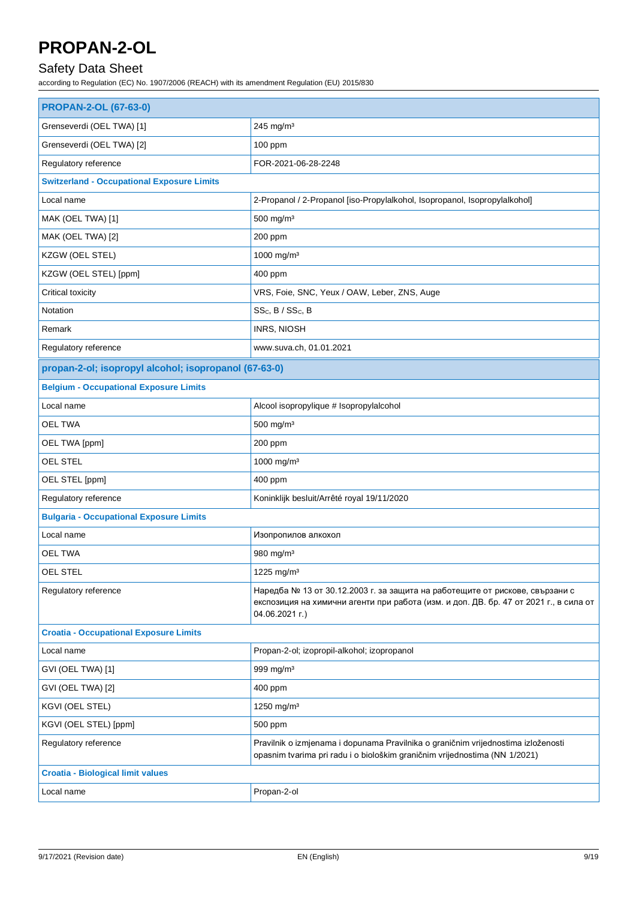## Safety Data Sheet

| <b>PROPAN-2-OL (67-63-0)</b>                          |                                                                                                                                                                                         |
|-------------------------------------------------------|-----------------------------------------------------------------------------------------------------------------------------------------------------------------------------------------|
| Grenseverdi (OEL TWA) [1]                             | 245 mg/m $3$                                                                                                                                                                            |
| Grenseverdi (OEL TWA) [2]                             | 100 ppm                                                                                                                                                                                 |
| Regulatory reference                                  | FOR-2021-06-28-2248                                                                                                                                                                     |
| <b>Switzerland - Occupational Exposure Limits</b>     |                                                                                                                                                                                         |
| Local name                                            | 2-Propanol / 2-Propanol [iso-Propylalkohol, Isopropanol, Isopropylalkohol]                                                                                                              |
| MAK (OEL TWA) [1]                                     | 500 mg/m <sup>3</sup>                                                                                                                                                                   |
| MAK (OEL TWA) [2]                                     | 200 ppm                                                                                                                                                                                 |
| KZGW (OEL STEL)                                       | 1000 mg/m <sup>3</sup>                                                                                                                                                                  |
| KZGW (OEL STEL) [ppm]                                 | 400 ppm                                                                                                                                                                                 |
| Critical toxicity                                     | VRS, Foie, SNC, Yeux / OAW, Leber, ZNS, Auge                                                                                                                                            |
| Notation                                              | SSc, B / SSc, B                                                                                                                                                                         |
| Remark                                                | <b>INRS, NIOSH</b>                                                                                                                                                                      |
| Regulatory reference                                  | www.suva.ch, 01.01.2021                                                                                                                                                                 |
| propan-2-ol; isopropyl alcohol; isopropanol (67-63-0) |                                                                                                                                                                                         |
| <b>Belgium - Occupational Exposure Limits</b>         |                                                                                                                                                                                         |
| Local name                                            | Alcool isopropylique # Isopropylalcohol                                                                                                                                                 |
| <b>OEL TWA</b>                                        | 500 mg/m <sup>3</sup>                                                                                                                                                                   |
| OEL TWA [ppm]                                         | 200 ppm                                                                                                                                                                                 |
| OEL STEL                                              | 1000 mg/m <sup>3</sup>                                                                                                                                                                  |
| OEL STEL [ppm]                                        | 400 ppm                                                                                                                                                                                 |
| Regulatory reference                                  | Koninklijk besluit/Arrêté royal 19/11/2020                                                                                                                                              |
| <b>Bulgaria - Occupational Exposure Limits</b>        |                                                                                                                                                                                         |
| Local name                                            | Изопропилов алкохол                                                                                                                                                                     |
| OEL TWA                                               | 980 mg/m <sup>3</sup>                                                                                                                                                                   |
| <b>OEL STEL</b>                                       | 1225 mg/m <sup>3</sup>                                                                                                                                                                  |
| Regulatory reference                                  | Наредба № 13 от 30.12.2003 г. за защита на работещите от рискове, свързани с<br>експозиция на химични агенти при работа (изм. и доп. ДВ. бр. 47 от 2021 г., в сила от<br>04.06.2021 г.) |
| <b>Croatia - Occupational Exposure Limits</b>         |                                                                                                                                                                                         |
| Local name                                            | Propan-2-ol; izopropil-alkohol; izopropanol                                                                                                                                             |
| GVI (OEL TWA) [1]                                     | 999 mg/m <sup>3</sup>                                                                                                                                                                   |
| GVI (OEL TWA) [2]                                     | 400 ppm                                                                                                                                                                                 |
| KGVI (OEL STEL)                                       | 1250 mg/m <sup>3</sup>                                                                                                                                                                  |
| KGVI (OEL STEL) [ppm]                                 | 500 ppm                                                                                                                                                                                 |
| Regulatory reference                                  | Pravilnik o izmjenama i dopunama Pravilnika o graničnim vrijednostima izloženosti<br>opasnim tvarima pri radu i o biološkim graničnim vrijednostima (NN 1/2021)                         |
| <b>Croatia - Biological limit values</b>              |                                                                                                                                                                                         |
| Local name                                            | Propan-2-ol                                                                                                                                                                             |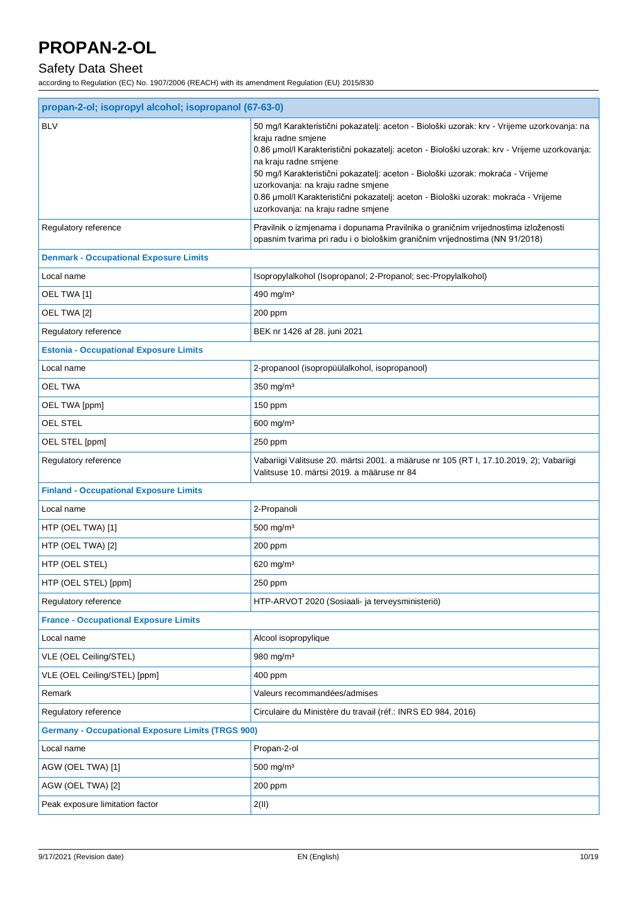## Safety Data Sheet

|                                                          | propan-2-ol; isopropyl alcohol; isopropanol (67-63-0)                                                                                                                                                                                                                                                                                                                                                                                                                                            |  |  |
|----------------------------------------------------------|--------------------------------------------------------------------------------------------------------------------------------------------------------------------------------------------------------------------------------------------------------------------------------------------------------------------------------------------------------------------------------------------------------------------------------------------------------------------------------------------------|--|--|
| <b>BLV</b>                                               | 50 mg/l Karakteristični pokazatelj: aceton - Biološki uzorak: krv - Vrijeme uzorkovanja: na<br>kraju radne smjene<br>0.86 µmol/l Karakteristični pokazatelj: aceton - Biološki uzorak: krv - Vrijeme uzorkovanja:<br>na kraju radne smjene<br>50 mg/l Karakteristični pokazatelj: aceton - Biološki uzorak: mokraća - Vrijeme<br>uzorkovanja: na kraju radne smjene<br>0.86 µmol/l Karakteristični pokazatelj: aceton - Biološki uzorak: mokraća - Vrijeme<br>uzorkovanja: na kraju radne smjene |  |  |
| Regulatory reference                                     | Pravilnik o izmjenama i dopunama Pravilnika o graničnim vrijednostima izloženosti<br>opasnim tvarima pri radu i o biološkim graničnim vrijednostima (NN 91/2018)                                                                                                                                                                                                                                                                                                                                 |  |  |
| <b>Denmark - Occupational Exposure Limits</b>            |                                                                                                                                                                                                                                                                                                                                                                                                                                                                                                  |  |  |
| Local name                                               | Isopropylalkohol (Isopropanol; 2-Propanol; sec-Propylalkohol)                                                                                                                                                                                                                                                                                                                                                                                                                                    |  |  |
| OEL TWA [1]                                              | 490 mg/m <sup>3</sup>                                                                                                                                                                                                                                                                                                                                                                                                                                                                            |  |  |
| OEL TWA [2]                                              | 200 ppm                                                                                                                                                                                                                                                                                                                                                                                                                                                                                          |  |  |
| Regulatory reference                                     | BEK nr 1426 af 28. juni 2021                                                                                                                                                                                                                                                                                                                                                                                                                                                                     |  |  |
| <b>Estonia - Occupational Exposure Limits</b>            |                                                                                                                                                                                                                                                                                                                                                                                                                                                                                                  |  |  |
| Local name                                               | 2-propanool (isopropüülalkohol, isopropanool)                                                                                                                                                                                                                                                                                                                                                                                                                                                    |  |  |
| <b>OEL TWA</b>                                           | 350 mg/m <sup>3</sup>                                                                                                                                                                                                                                                                                                                                                                                                                                                                            |  |  |
| OEL TWA [ppm]                                            | 150 ppm                                                                                                                                                                                                                                                                                                                                                                                                                                                                                          |  |  |
| OEL STEL                                                 | 600 mg/m <sup>3</sup>                                                                                                                                                                                                                                                                                                                                                                                                                                                                            |  |  |
| OEL STEL [ppm]                                           | 250 ppm                                                                                                                                                                                                                                                                                                                                                                                                                                                                                          |  |  |
| Regulatory reference                                     | Vabariigi Valitsuse 20. märtsi 2001. a määruse nr 105 (RT I, 17.10.2019, 2); Vabariigi<br>Valitsuse 10. märtsi 2019. a määruse nr 84                                                                                                                                                                                                                                                                                                                                                             |  |  |
| <b>Finland - Occupational Exposure Limits</b>            |                                                                                                                                                                                                                                                                                                                                                                                                                                                                                                  |  |  |
| Local name                                               | 2-Propanoli                                                                                                                                                                                                                                                                                                                                                                                                                                                                                      |  |  |
| HTP (OEL TWA) [1]                                        | $500$ mg/m <sup>3</sup>                                                                                                                                                                                                                                                                                                                                                                                                                                                                          |  |  |
| HTP (OEL TWA) [2]                                        | 200 ppm                                                                                                                                                                                                                                                                                                                                                                                                                                                                                          |  |  |
| HTP (OEL STEL)                                           | 620 mg/m <sup>3</sup>                                                                                                                                                                                                                                                                                                                                                                                                                                                                            |  |  |
| HTP (OEL STEL) [ppm]                                     | 250 ppm                                                                                                                                                                                                                                                                                                                                                                                                                                                                                          |  |  |
| Regulatory reference                                     | HTP-ARVOT 2020 (Sosiaali- ja terveysministeriö)                                                                                                                                                                                                                                                                                                                                                                                                                                                  |  |  |
| <b>France - Occupational Exposure Limits</b>             |                                                                                                                                                                                                                                                                                                                                                                                                                                                                                                  |  |  |
| Local name                                               | Alcool isopropylique                                                                                                                                                                                                                                                                                                                                                                                                                                                                             |  |  |
| VLE (OEL Ceiling/STEL)                                   | 980 mg/m <sup>3</sup>                                                                                                                                                                                                                                                                                                                                                                                                                                                                            |  |  |
| VLE (OEL Ceiling/STEL) [ppm]                             | 400 ppm                                                                                                                                                                                                                                                                                                                                                                                                                                                                                          |  |  |
| Remark                                                   | Valeurs recommandées/admises                                                                                                                                                                                                                                                                                                                                                                                                                                                                     |  |  |
| Regulatory reference                                     | Circulaire du Ministère du travail (réf.: INRS ED 984, 2016)                                                                                                                                                                                                                                                                                                                                                                                                                                     |  |  |
| <b>Germany - Occupational Exposure Limits (TRGS 900)</b> |                                                                                                                                                                                                                                                                                                                                                                                                                                                                                                  |  |  |
| Local name                                               | Propan-2-ol                                                                                                                                                                                                                                                                                                                                                                                                                                                                                      |  |  |
| AGW (OEL TWA) [1]                                        | $500$ mg/m <sup>3</sup>                                                                                                                                                                                                                                                                                                                                                                                                                                                                          |  |  |
| AGW (OEL TWA) [2]                                        | 200 ppm                                                                                                                                                                                                                                                                                                                                                                                                                                                                                          |  |  |
| Peak exposure limitation factor                          | 2(II)                                                                                                                                                                                                                                                                                                                                                                                                                                                                                            |  |  |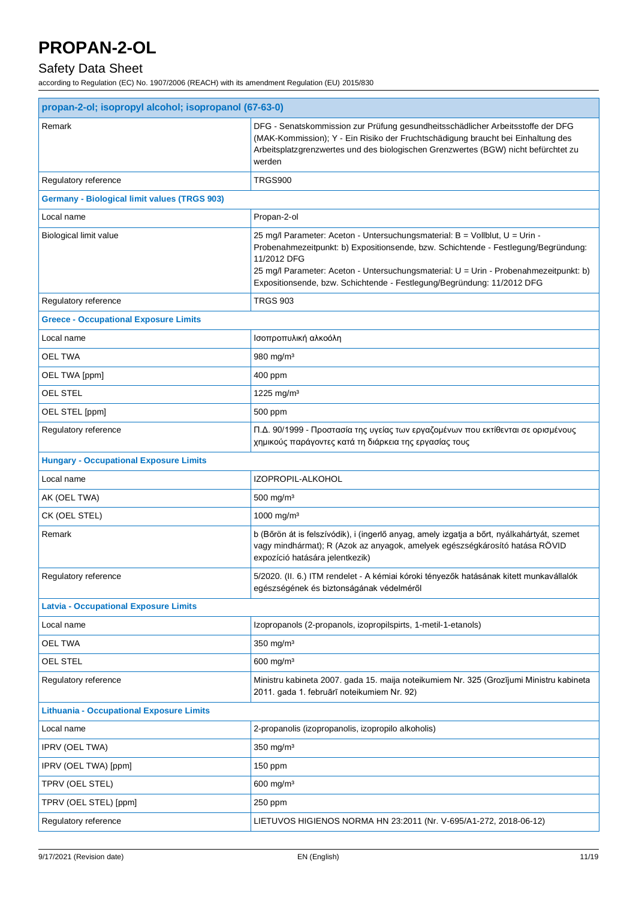## Safety Data Sheet

| propan-2-ol; isopropyl alcohol; isopropanol (67-63-0) |                                                                                                                                                                                                                                                                                                                                                     |  |
|-------------------------------------------------------|-----------------------------------------------------------------------------------------------------------------------------------------------------------------------------------------------------------------------------------------------------------------------------------------------------------------------------------------------------|--|
| Remark                                                | DFG - Senatskommission zur Prüfung gesundheitsschädlicher Arbeitsstoffe der DFG<br>(MAK-Kommission); Y - Ein Risiko der Fruchtschädigung braucht bei Einhaltung des<br>Arbeitsplatzgrenzwertes und des biologischen Grenzwertes (BGW) nicht befürchtet zu<br>werden                                                                                 |  |
| Regulatory reference                                  | <b>TRGS900</b>                                                                                                                                                                                                                                                                                                                                      |  |
| <b>Germany - Biological limit values (TRGS 903)</b>   |                                                                                                                                                                                                                                                                                                                                                     |  |
| Local name                                            | Propan-2-ol                                                                                                                                                                                                                                                                                                                                         |  |
| Biological limit value                                | 25 mg/l Parameter: Aceton - Untersuchungsmaterial: B = Vollblut, U = Urin -<br>Probenahmezeitpunkt: b) Expositionsende, bzw. Schichtende - Festlegung/Begründung:<br>11/2012 DFG<br>25 mg/l Parameter: Aceton - Untersuchungsmaterial: U = Urin - Probenahmezeitpunkt: b)<br>Expositionsende, bzw. Schichtende - Festlegung/Begründung: 11/2012 DFG |  |
| Regulatory reference                                  | <b>TRGS 903</b>                                                                                                                                                                                                                                                                                                                                     |  |
| <b>Greece - Occupational Exposure Limits</b>          |                                                                                                                                                                                                                                                                                                                                                     |  |
| Local name                                            | Ισοπροπυλική αλκοόλη                                                                                                                                                                                                                                                                                                                                |  |
| <b>OEL TWA</b>                                        | 980 mg/m <sup>3</sup>                                                                                                                                                                                                                                                                                                                               |  |
| OEL TWA [ppm]                                         | 400 ppm                                                                                                                                                                                                                                                                                                                                             |  |
| OEL STEL                                              | 1225 mg/m <sup>3</sup>                                                                                                                                                                                                                                                                                                                              |  |
| OEL STEL [ppm]                                        | 500 ppm                                                                                                                                                                                                                                                                                                                                             |  |
| Regulatory reference                                  | Π.Δ. 90/1999 - Προστασία της υγείας των εργαζομένων που εκτίθενται σε ορισμένους<br>χημικούς παράγοντες κατά τη διάρκεια της εργασίας τους                                                                                                                                                                                                          |  |
| <b>Hungary - Occupational Exposure Limits</b>         |                                                                                                                                                                                                                                                                                                                                                     |  |
| Local name                                            | IZOPROPIL-ALKOHOL                                                                                                                                                                                                                                                                                                                                   |  |
| AK (OEL TWA)                                          | 500 mg/m <sup>3</sup>                                                                                                                                                                                                                                                                                                                               |  |
| CK (OEL STEL)                                         | 1000 mg/m <sup>3</sup>                                                                                                                                                                                                                                                                                                                              |  |
| Remark                                                | b (Bőrön át is felszívódik), i (ingerlő anyag, amely izgatja a bőrt, nyálkahártyát, szemet<br>vagy mindhármat); R (Azok az anyagok, amelyek egészségkárosító hatása RÖVID<br>expozíció hatására jelentkezik)                                                                                                                                        |  |
| Regulatory reference                                  | 5/2020. (II. 6.) ITM rendelet - A kémiai kóroki tényezők hatásának kitett munkavállalók<br>egészségének és biztonságának védelméről                                                                                                                                                                                                                 |  |
| <b>Latvia - Occupational Exposure Limits</b>          |                                                                                                                                                                                                                                                                                                                                                     |  |
| Local name                                            | Izopropanols (2-propanols, izopropilspirts, 1-metil-1-etanols)                                                                                                                                                                                                                                                                                      |  |
| OEL TWA                                               | $350$ mg/m <sup>3</sup>                                                                                                                                                                                                                                                                                                                             |  |
| OEL STEL                                              | 600 mg/m <sup>3</sup>                                                                                                                                                                                                                                                                                                                               |  |
| Regulatory reference                                  | Ministru kabineta 2007. gada 15. maija noteikumiem Nr. 325 (Grozījumi Ministru kabineta<br>2011. gada 1. februārī noteikumiem Nr. 92)                                                                                                                                                                                                               |  |
| <b>Lithuania - Occupational Exposure Limits</b>       |                                                                                                                                                                                                                                                                                                                                                     |  |
| Local name                                            | 2-propanolis (izopropanolis, izopropilo alkoholis)                                                                                                                                                                                                                                                                                                  |  |
| <b>IPRV (OEL TWA)</b>                                 | 350 mg/m <sup>3</sup>                                                                                                                                                                                                                                                                                                                               |  |
| IPRV (OEL TWA) [ppm]                                  | 150 ppm                                                                                                                                                                                                                                                                                                                                             |  |
| TPRV (OEL STEL)                                       | $600$ mg/m <sup>3</sup>                                                                                                                                                                                                                                                                                                                             |  |
| TPRV (OEL STEL) [ppm]                                 | 250 ppm                                                                                                                                                                                                                                                                                                                                             |  |
| Regulatory reference                                  | LIETUVOS HIGIENOS NORMA HN 23:2011 (Nr. V-695/A1-272, 2018-06-12)                                                                                                                                                                                                                                                                                   |  |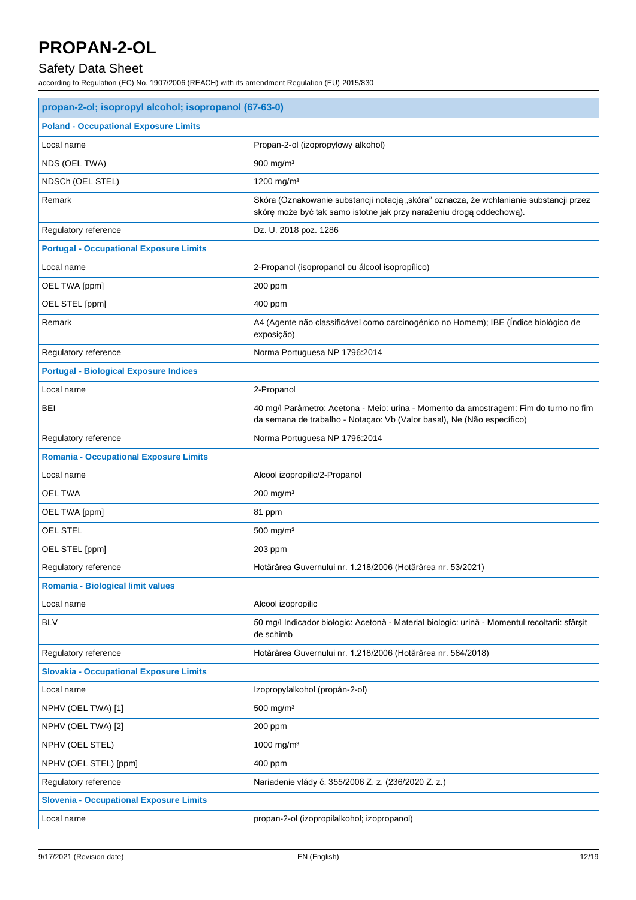## Safety Data Sheet

| propan-2-ol; isopropyl alcohol; isopropanol (67-63-0) |                                                                                                                                                                 |
|-------------------------------------------------------|-----------------------------------------------------------------------------------------------------------------------------------------------------------------|
| <b>Poland - Occupational Exposure Limits</b>          |                                                                                                                                                                 |
| Local name                                            | Propan-2-ol (izopropylowy alkohol)                                                                                                                              |
| NDS (OEL TWA)                                         | 900 mg/m <sup>3</sup>                                                                                                                                           |
| NDSCh (OEL STEL)                                      | 1200 mg/m <sup>3</sup>                                                                                                                                          |
| Remark                                                | Skóra (Oznakowanie substancji notacją "skóra" oznacza, że wchłanianie substancji przez<br>skórę może być tak samo istotne jak przy narażeniu drogą oddechową).  |
| Regulatory reference                                  | Dz. U. 2018 poz. 1286                                                                                                                                           |
| <b>Portugal - Occupational Exposure Limits</b>        |                                                                                                                                                                 |
| Local name                                            | 2-Propanol (isopropanol ou álcool isopropílico)                                                                                                                 |
| OEL TWA [ppm]                                         | 200 ppm                                                                                                                                                         |
| OEL STEL [ppm]                                        | 400 ppm                                                                                                                                                         |
| Remark                                                | A4 (Agente não classificável como carcinogénico no Homem); IBE (Índice biológico de<br>exposição)                                                               |
| Regulatory reference                                  | Norma Portuguesa NP 1796:2014                                                                                                                                   |
| <b>Portugal - Biological Exposure Indices</b>         |                                                                                                                                                                 |
| Local name                                            | 2-Propanol                                                                                                                                                      |
| BEI                                                   | 40 mg/l Parâmetro: Acetona - Meio: urina - Momento da amostragem: Fim do turno no fim<br>da semana de trabalho - Notaçao: Vb (Valor basal), Ne (Não específico) |
| Regulatory reference                                  | Norma Portuguesa NP 1796:2014                                                                                                                                   |
| <b>Romania - Occupational Exposure Limits</b>         |                                                                                                                                                                 |
| Local name                                            | Alcool izopropilic/2-Propanol                                                                                                                                   |
| <b>OEL TWA</b>                                        | 200 mg/m <sup>3</sup>                                                                                                                                           |
| OEL TWA [ppm]                                         | 81 ppm                                                                                                                                                          |
| <b>OEL STEL</b>                                       | 500 mg/m <sup>3</sup>                                                                                                                                           |
| OEL STEL [ppm]                                        | 203 ppm                                                                                                                                                         |
| Regulatory reference                                  | Hotărârea Guvernului nr. 1.218/2006 (Hotărârea nr. 53/2021)                                                                                                     |
| <b>Romania - Biological limit values</b>              |                                                                                                                                                                 |
| Local name                                            | Alcool izopropilic                                                                                                                                              |
| <b>BLV</b>                                            | 50 mg/l Indicador biologic: Acetonă - Material biologic: urină - Momentul recoltarii: sfârșit<br>de schimb                                                      |
| Regulatory reference                                  | Hotărârea Guvernului nr. 1.218/2006 (Hotărârea nr. 584/2018)                                                                                                    |
| <b>Slovakia - Occupational Exposure Limits</b>        |                                                                                                                                                                 |
| Local name                                            | Izopropylalkohol (propán-2-ol)                                                                                                                                  |
| NPHV (OEL TWA) [1]                                    | 500 mg/m <sup>3</sup>                                                                                                                                           |
| NPHV (OEL TWA) [2]                                    | 200 ppm                                                                                                                                                         |
| NPHV (OEL STEL)                                       | 1000 mg/m <sup>3</sup>                                                                                                                                          |
| NPHV (OEL STEL) [ppm]                                 | 400 ppm                                                                                                                                                         |
| Regulatory reference                                  | Nariadenie vlády č. 355/2006 Z. z. (236/2020 Z. z.)                                                                                                             |
| <b>Slovenia - Occupational Exposure Limits</b>        |                                                                                                                                                                 |
| Local name                                            | propan-2-ol (izopropilalkohol; izopropanol)                                                                                                                     |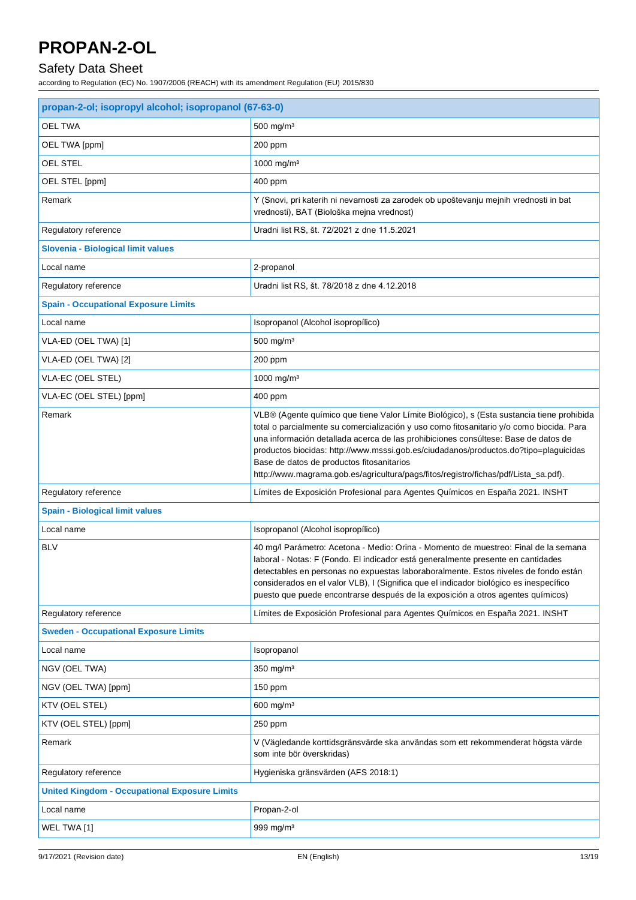## Safety Data Sheet

| propan-2-ol; isopropyl alcohol; isopropanol (67-63-0) |                                                                                                                                                                                                                                                                                                                                                                                                                                                                                                         |  |
|-------------------------------------------------------|---------------------------------------------------------------------------------------------------------------------------------------------------------------------------------------------------------------------------------------------------------------------------------------------------------------------------------------------------------------------------------------------------------------------------------------------------------------------------------------------------------|--|
| <b>OEL TWA</b>                                        | 500 mg/m <sup>3</sup>                                                                                                                                                                                                                                                                                                                                                                                                                                                                                   |  |
| OEL TWA [ppm]                                         | 200 ppm                                                                                                                                                                                                                                                                                                                                                                                                                                                                                                 |  |
| OEL STEL                                              | 1000 mg/m <sup>3</sup>                                                                                                                                                                                                                                                                                                                                                                                                                                                                                  |  |
| OEL STEL [ppm]                                        | 400 ppm                                                                                                                                                                                                                                                                                                                                                                                                                                                                                                 |  |
| Remark                                                | Y (Snovi, pri katerih ni nevarnosti za zarodek ob upoštevanju mejnih vrednosti in bat<br>vrednosti), BAT (Biološka mejna vrednost)                                                                                                                                                                                                                                                                                                                                                                      |  |
| Regulatory reference                                  | Uradni list RS, št. 72/2021 z dne 11.5.2021                                                                                                                                                                                                                                                                                                                                                                                                                                                             |  |
| Slovenia - Biological limit values                    |                                                                                                                                                                                                                                                                                                                                                                                                                                                                                                         |  |
| Local name                                            | 2-propanol                                                                                                                                                                                                                                                                                                                                                                                                                                                                                              |  |
| Regulatory reference                                  | Uradni list RS, št. 78/2018 z dne 4.12.2018                                                                                                                                                                                                                                                                                                                                                                                                                                                             |  |
| <b>Spain - Occupational Exposure Limits</b>           |                                                                                                                                                                                                                                                                                                                                                                                                                                                                                                         |  |
| Local name                                            | Isopropanol (Alcohol isopropílico)                                                                                                                                                                                                                                                                                                                                                                                                                                                                      |  |
| VLA-ED (OEL TWA) [1]                                  | $500$ mg/m <sup>3</sup>                                                                                                                                                                                                                                                                                                                                                                                                                                                                                 |  |
| VLA-ED (OEL TWA) [2]                                  | 200 ppm                                                                                                                                                                                                                                                                                                                                                                                                                                                                                                 |  |
| VLA-EC (OEL STEL)                                     | 1000 mg/m <sup>3</sup>                                                                                                                                                                                                                                                                                                                                                                                                                                                                                  |  |
| VLA-EC (OEL STEL) [ppm]                               | 400 ppm                                                                                                                                                                                                                                                                                                                                                                                                                                                                                                 |  |
| Remark                                                | VLB® (Agente químico que tiene Valor Límite Biológico), s (Esta sustancia tiene prohibida<br>total o parcialmente su comercialización y uso como fitosanitario y/o como biocida. Para<br>una información detallada acerca de las prohibiciones consúltese: Base de datos de<br>productos biocidas: http://www.msssi.gob.es/ciudadanos/productos.do?tipo=plaguicidas<br>Base de datos de productos fitosanitarios<br>http://www.magrama.gob.es/agricultura/pags/fitos/registro/fichas/pdf/Lista_sa.pdf). |  |
| Regulatory reference                                  | Límites de Exposición Profesional para Agentes Químicos en España 2021. INSHT                                                                                                                                                                                                                                                                                                                                                                                                                           |  |
| <b>Spain - Biological limit values</b>                |                                                                                                                                                                                                                                                                                                                                                                                                                                                                                                         |  |
| Local name                                            | Isopropanol (Alcohol isopropílico)                                                                                                                                                                                                                                                                                                                                                                                                                                                                      |  |
| <b>BLV</b>                                            | 40 mg/l Parámetro: Acetona - Medio: Orina - Momento de muestreo: Final de la semana<br>laboral - Notas: F (Fondo. El indicador está generalmente presente en cantidades<br>detectables en personas no expuestas laboraboralmente. Estos niveles de fondo están<br>considerados en el valor VLB), I (Significa que el indicador biológico es inespecífico<br>puesto que puede encontrarse después de la exposición a otros agentes químicos)                                                             |  |
| Regulatory reference                                  | Límites de Exposición Profesional para Agentes Químicos en España 2021. INSHT                                                                                                                                                                                                                                                                                                                                                                                                                           |  |
| <b>Sweden - Occupational Exposure Limits</b>          |                                                                                                                                                                                                                                                                                                                                                                                                                                                                                                         |  |
| Local name                                            | Isopropanol                                                                                                                                                                                                                                                                                                                                                                                                                                                                                             |  |
| NGV (OEL TWA)                                         | $350$ mg/m <sup>3</sup>                                                                                                                                                                                                                                                                                                                                                                                                                                                                                 |  |
| NGV (OEL TWA) [ppm]                                   | $150$ ppm                                                                                                                                                                                                                                                                                                                                                                                                                                                                                               |  |
| KTV (OEL STEL)                                        | $600$ mg/m <sup>3</sup>                                                                                                                                                                                                                                                                                                                                                                                                                                                                                 |  |
| KTV (OEL STEL) [ppm]                                  | 250 ppm                                                                                                                                                                                                                                                                                                                                                                                                                                                                                                 |  |
| Remark                                                | V (Vägledande korttidsgränsvärde ska användas som ett rekommenderat högsta värde<br>som inte bör överskridas)                                                                                                                                                                                                                                                                                                                                                                                           |  |
| Regulatory reference                                  | Hygieniska gränsvärden (AFS 2018:1)                                                                                                                                                                                                                                                                                                                                                                                                                                                                     |  |
| <b>United Kingdom - Occupational Exposure Limits</b>  |                                                                                                                                                                                                                                                                                                                                                                                                                                                                                                         |  |
| Local name                                            | Propan-2-ol                                                                                                                                                                                                                                                                                                                                                                                                                                                                                             |  |
| WEL TWA [1]                                           | 999 mg/m <sup>3</sup>                                                                                                                                                                                                                                                                                                                                                                                                                                                                                   |  |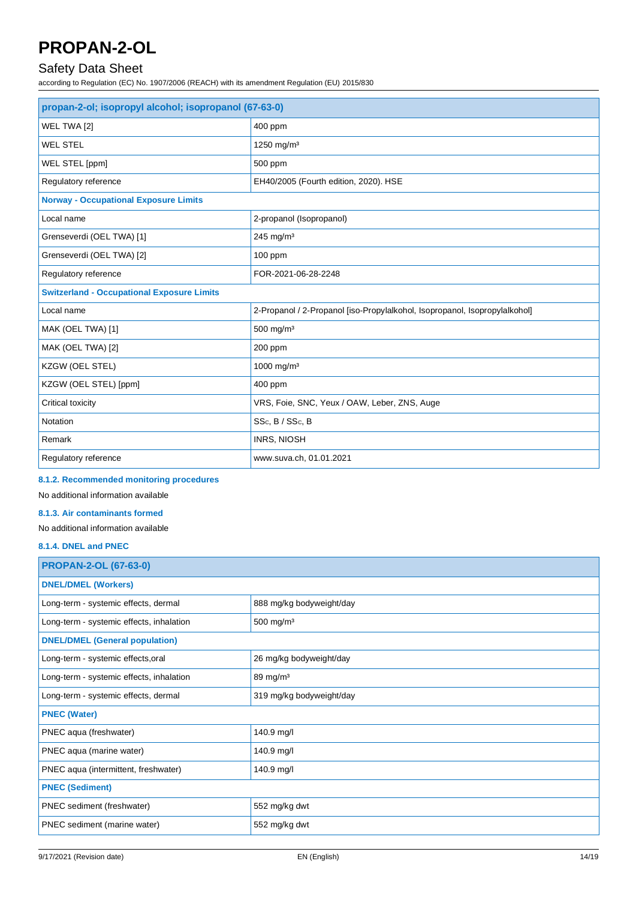### Safety Data Sheet

according to Regulation (EC) No. 1907/2006 (REACH) with its amendment Regulation (EU) 2015/830

| propan-2-ol; isopropyl alcohol; isopropanol (67-63-0) |                                                                            |
|-------------------------------------------------------|----------------------------------------------------------------------------|
| WEL TWA [2]                                           | 400 ppm                                                                    |
| <b>WEL STEL</b>                                       | 1250 mg/m <sup>3</sup>                                                     |
| WEL STEL [ppm]                                        | 500 ppm                                                                    |
| Regulatory reference                                  | EH40/2005 (Fourth edition, 2020). HSE                                      |
| <b>Norway - Occupational Exposure Limits</b>          |                                                                            |
| Local name                                            | 2-propanol (Isopropanol)                                                   |
| Grenseverdi (OEL TWA) [1]                             | 245 mg/m $3$                                                               |
| Grenseverdi (OEL TWA) [2]                             | $100$ ppm                                                                  |
| Regulatory reference                                  | FOR-2021-06-28-2248                                                        |
| <b>Switzerland - Occupational Exposure Limits</b>     |                                                                            |
| Local name                                            | 2-Propanol / 2-Propanol [iso-Propylalkohol, Isopropanol, Isopropylalkohol] |
| MAK (OEL TWA) [1]                                     | $500$ mg/m <sup>3</sup>                                                    |
| MAK (OEL TWA) [2]                                     | 200 ppm                                                                    |
| KZGW (OEL STEL)                                       | 1000 mg/m <sup>3</sup>                                                     |
| KZGW (OEL STEL) [ppm]                                 | 400 ppm                                                                    |
| Critical toxicity                                     | VRS, Foie, SNC, Yeux / OAW, Leber, ZNS, Auge                               |
| Notation                                              | SS <sub>c</sub> , B / SS <sub>c</sub> , B                                  |
| Remark                                                | <b>INRS, NIOSH</b>                                                         |
| Regulatory reference                                  | www.suva.ch, 01.01.2021                                                    |

### **8.1.2. Recommended monitoring procedures**

No additional information available

### **8.1.3. Air contaminants formed**

No additional information available

#### **8.1.4. DNEL and PNEC**

| <b>PROPAN-2-OL (67-63-0)</b>             |                          |  |
|------------------------------------------|--------------------------|--|
| <b>DNEL/DMEL (Workers)</b>               |                          |  |
| Long-term - systemic effects, dermal     | 888 mg/kg bodyweight/day |  |
| Long-term - systemic effects, inhalation | 500 mg/m <sup>3</sup>    |  |
| <b>DNEL/DMEL (General population)</b>    |                          |  |
| Long-term - systemic effects, oral       | 26 mg/kg bodyweight/day  |  |
| Long-term - systemic effects, inhalation | 89 mg/m $3$              |  |
| Long-term - systemic effects, dermal     | 319 mg/kg bodyweight/day |  |
| <b>PNEC (Water)</b>                      |                          |  |
| PNEC aqua (freshwater)                   | 140.9 mg/l               |  |
| PNEC aqua (marine water)                 | 140.9 mg/l               |  |
| PNEC aqua (intermittent, freshwater)     | 140.9 mg/l               |  |
| <b>PNEC (Sediment)</b>                   |                          |  |
| PNEC sediment (freshwater)               | 552 mg/kg dwt            |  |
| PNEC sediment (marine water)             | 552 mg/kg dwt            |  |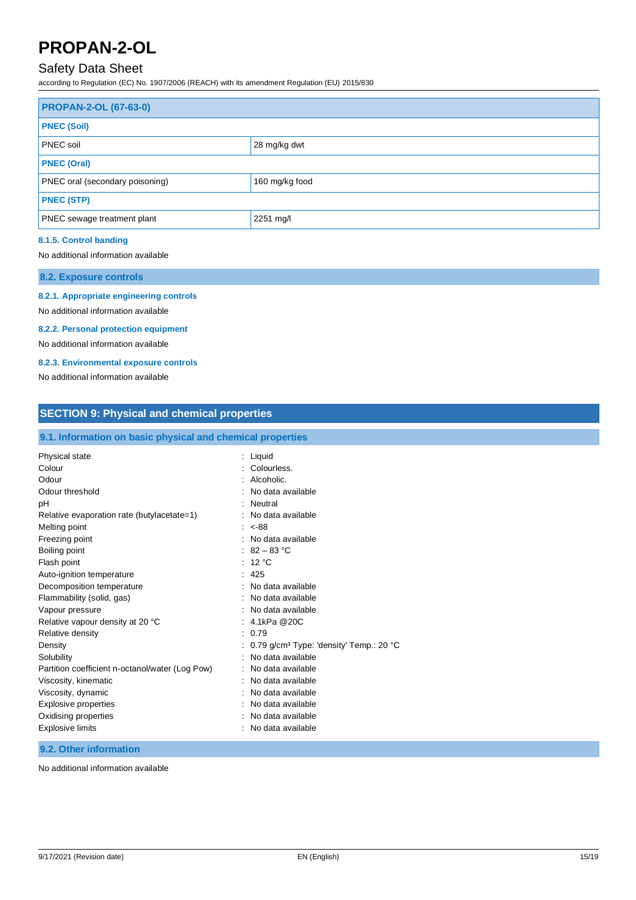### Safety Data Sheet

according to Regulation (EC) No. 1907/2006 (REACH) with its amendment Regulation (EU) 2015/830

| <b>PROPAN-2-OL (67-63-0)</b>                             |  |
|----------------------------------------------------------|--|
| <b>PNEC (Soil)</b>                                       |  |
| PNEC soil<br>28 mg/kg dwt                                |  |
| <b>PNEC (Oral)</b>                                       |  |
| <b>PNEC oral (secondary poisoning)</b><br>160 mg/kg food |  |
| <b>PNEC (STP)</b>                                        |  |
| PNEC sewage treatment plant<br>2251 mg/l                 |  |

### **8.1.5. Control banding**

#### No additional information available

**8.2. Exposure controls**

#### **8.2.1. Appropriate engineering controls**

No additional information available

#### **8.2.2. Personal protection equipment**

No additional information available

#### **8.2.3. Environmental exposure controls**

No additional information available

| <b>SECTION 9: Physical and chemical properties</b>                                                                                                                                                                                                                                                                                                                                                                                                                                                                             |                                                                                                                                                                                                                                                                                                                                                                                                                                                                                                          |
|--------------------------------------------------------------------------------------------------------------------------------------------------------------------------------------------------------------------------------------------------------------------------------------------------------------------------------------------------------------------------------------------------------------------------------------------------------------------------------------------------------------------------------|----------------------------------------------------------------------------------------------------------------------------------------------------------------------------------------------------------------------------------------------------------------------------------------------------------------------------------------------------------------------------------------------------------------------------------------------------------------------------------------------------------|
| 9.1. Information on basic physical and chemical properties                                                                                                                                                                                                                                                                                                                                                                                                                                                                     |                                                                                                                                                                                                                                                                                                                                                                                                                                                                                                          |
| Physical state<br>Colour<br>Odour<br>Odour threshold<br>pH<br>Relative evaporation rate (butylacetate=1)<br>Melting point<br>Freezing point<br>Boiling point<br>Flash point<br>Auto-ignition temperature<br>Decomposition temperature<br>Flammability (solid, gas)<br>Vapour pressure<br>Relative vapour density at 20 °C<br>Relative density<br>Density<br>Solubility<br>Partition coefficient n-octanol/water (Log Pow)<br>Viscosity, kinematic<br>Viscosity, dynamic<br><b>Explosive properties</b><br>Oxidising properties | Liquid<br>÷<br>Colourless.<br>Alcoholic.<br>No data available<br>Neutral<br>No data available<br>÷<br>$< -88$<br>÷<br>No data available<br>$\cdot$<br>$82 - 83 °C$<br>12 °C<br>÷<br>425<br>No data available<br>$\cdot$<br>No data available<br>No data available<br>4.1kPa @20C<br>0.79<br>÷<br>0.79 g/cm <sup>3</sup> Type: 'density' Temp.: 20 °C<br>No data available<br>No data available<br>$\cdot$<br>No data available<br>No data available<br>$\cdot$<br>No data available<br>No data available |
| <b>Explosive limits</b>                                                                                                                                                                                                                                                                                                                                                                                                                                                                                                        | No data available                                                                                                                                                                                                                                                                                                                                                                                                                                                                                        |

#### **9.2. Other information**

No additional information available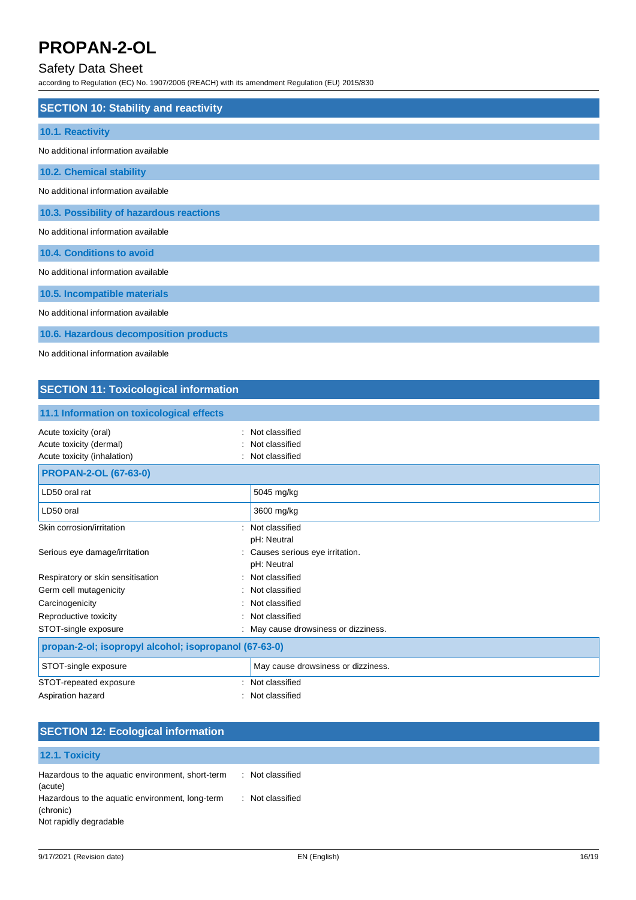### Safety Data Sheet

according to Regulation (EC) No. 1907/2006 (REACH) with its amendment Regulation (EU) 2015/830

| <b>SECTION 10: Stability and reactivity</b> |
|---------------------------------------------|
|                                             |
| 10.1. Reactivity                            |
| No additional information available         |
| <b>10.2. Chemical stability</b>             |
| No additional information available         |
| 10.3. Possibility of hazardous reactions    |
| No additional information available         |
| 10.4. Conditions to avoid                   |
| No additional information available         |
| 10.5. Incompatible materials                |
| No additional information available         |
| 10.6. Hazardous decomposition products      |
| No additional information available         |

## **SECTION 11: Toxicological information**

| 11.1 Information on toxicological effects                                       |  |                                                    |  |
|---------------------------------------------------------------------------------|--|----------------------------------------------------|--|
| Acute toxicity (oral)<br>Acute toxicity (dermal)<br>Acute toxicity (inhalation) |  | Not classified<br>Not classified<br>Not classified |  |
| <b>PROPAN-2-OL (67-63-0)</b>                                                    |  |                                                    |  |
| LD50 oral rat                                                                   |  | 5045 mg/kg                                         |  |
| LD50 oral                                                                       |  | 3600 mg/kg                                         |  |
| Skin corrosion/irritation                                                       |  | Not classified<br>pH: Neutral                      |  |
| Serious eye damage/irritation                                                   |  | Causes serious eye irritation.<br>pH: Neutral      |  |
| Respiratory or skin sensitisation                                               |  | Not classified                                     |  |
| Germ cell mutagenicity                                                          |  | Not classified                                     |  |
| Carcinogenicity                                                                 |  | Not classified                                     |  |
| Reproductive toxicity                                                           |  | Not classified                                     |  |
| STOT-single exposure                                                            |  | May cause drowsiness or dizziness.                 |  |
| propan-2-ol; isopropyl alcohol; isopropanol (67-63-0)                           |  |                                                    |  |
| STOT-single exposure                                                            |  | May cause drowsiness or dizziness.                 |  |
| STOT-repeated exposure                                                          |  | Not classified                                     |  |
| Aspiration hazard                                                               |  | Not classified                                     |  |

| <b>SECTION 12: Ecological information</b>                                              |                  |  |
|----------------------------------------------------------------------------------------|------------------|--|
| 12.1. Toxicity                                                                         |                  |  |
| Hazardous to the aquatic environment, short-term<br>(acute)                            | : Not classified |  |
| Hazardous to the aquatic environment, long-term<br>(chronic)<br>Not rapidly degradable | : Not classified |  |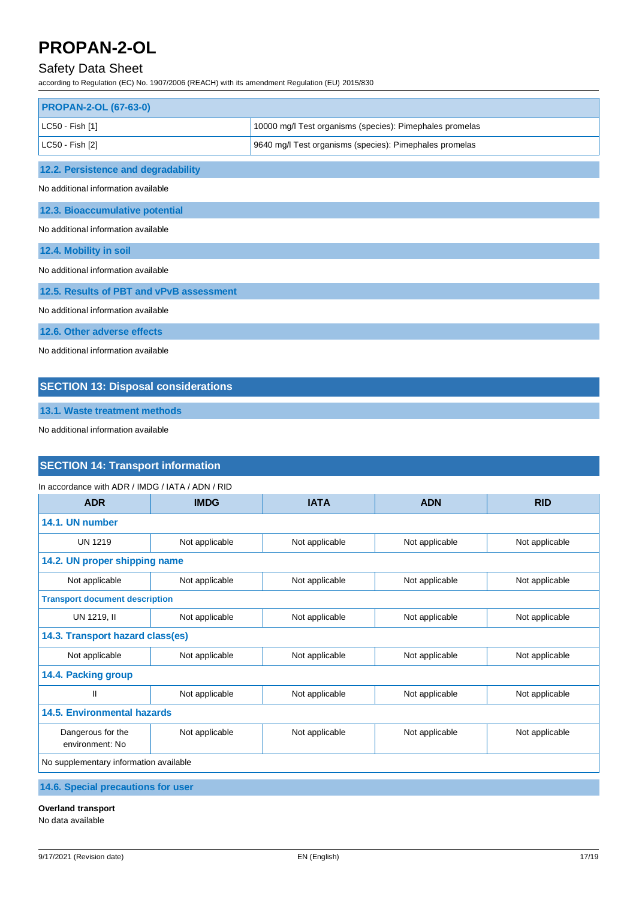### Safety Data Sheet

according to Regulation (EC) No. 1907/2006 (REACH) with its amendment Regulation (EU) 2015/830

| <b>PROPAN-2-OL (67-63-0)</b>             |                                                          |  |  |
|------------------------------------------|----------------------------------------------------------|--|--|
| LC50 - Fish [1]                          | 10000 mg/l Test organisms (species): Pimephales promelas |  |  |
| LC50 - Fish [2]                          | 9640 mg/l Test organisms (species): Pimephales promelas  |  |  |
| 12.2. Persistence and degradability      |                                                          |  |  |
| No additional information available      |                                                          |  |  |
| 12.3. Bioaccumulative potential          |                                                          |  |  |
| No additional information available      |                                                          |  |  |
| 12.4. Mobility in soil                   |                                                          |  |  |
| No additional information available      |                                                          |  |  |
| 12.5. Results of PBT and vPvB assessment |                                                          |  |  |
| No additional information available      |                                                          |  |  |
| 12.6. Other adverse effects              |                                                          |  |  |
| No additional information available      |                                                          |  |  |

### **SECTION 13: Disposal considerations**

**13.1. Waste treatment methods**

No additional information available

### **SECTION 14: Transport information**

| In accordance with ADR / IMDG / IATA / ADN / RID |                                       |                |                |                |  |
|--------------------------------------------------|---------------------------------------|----------------|----------------|----------------|--|
| <b>ADR</b>                                       | <b>IMDG</b>                           | <b>IATA</b>    | <b>ADN</b>     | <b>RID</b>     |  |
| 14.1. UN number                                  |                                       |                |                |                |  |
| <b>UN 1219</b>                                   | Not applicable                        | Not applicable | Not applicable | Not applicable |  |
| 14.2. UN proper shipping name                    |                                       |                |                |                |  |
| Not applicable                                   | Not applicable                        | Not applicable | Not applicable | Not applicable |  |
|                                                  | <b>Transport document description</b> |                |                |                |  |
| UN 1219, II                                      | Not applicable                        | Not applicable | Not applicable | Not applicable |  |
| 14.3. Transport hazard class(es)                 |                                       |                |                |                |  |
| Not applicable                                   | Not applicable                        | Not applicable | Not applicable | Not applicable |  |
| 14.4. Packing group                              |                                       |                |                |                |  |
| $\mathbf{I}$                                     | Not applicable                        | Not applicable | Not applicable | Not applicable |  |
| <b>14.5. Environmental hazards</b>               |                                       |                |                |                |  |
| Dangerous for the<br>environment: No             | Not applicable                        | Not applicable | Not applicable | Not applicable |  |
| No supplementary information available           |                                       |                |                |                |  |

**14.6. Special precautions for user**

### **Overland transport**

No data available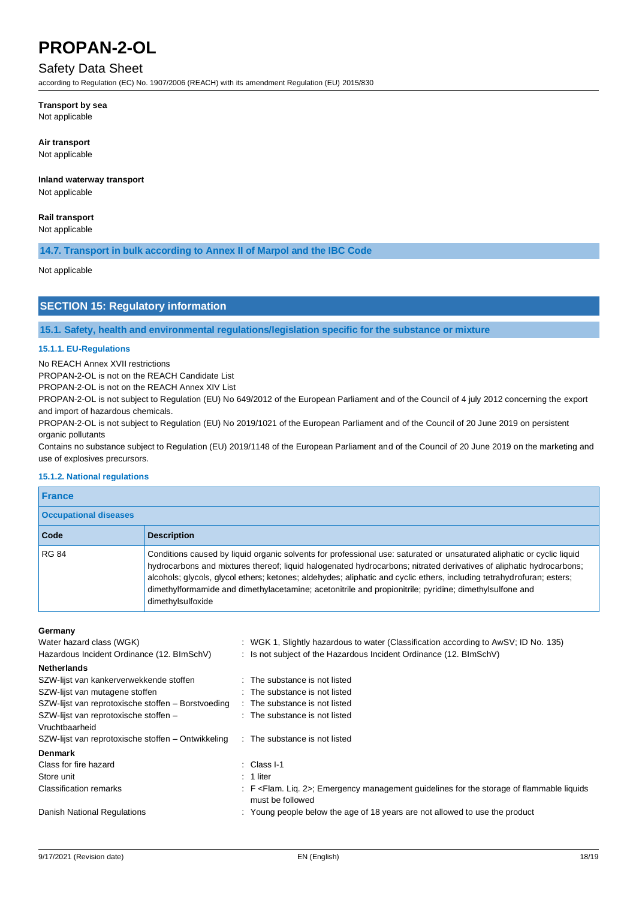### Safety Data Sheet

according to Regulation (EC) No. 1907/2006 (REACH) with its amendment Regulation (EU) 2015/830

#### **Transport by sea**

Not applicable

#### **Air transport**

Not applicable

### **Inland waterway transport**

Not applicable

### **Rail transport**

Not applicable

### **14.7. Transport in bulk according to Annex II of Marpol and the IBC Code**

Not applicable

### **SECTION 15: Regulatory information**

#### **15.1. Safety, health and environmental regulations/legislation specific for the substance or mixture**

#### **15.1.1. EU-Regulations**

No REACH Annex XVII restrictions

PROPAN-2-OL is not on the REACH Candidate List

PROPAN-2-OL is not on the REACH Annex XIV List

PROPAN-2-OL is not subject to Regulation (EU) No 649/2012 of the European Parliament and of the Council of 4 july 2012 concerning the export and import of hazardous chemicals.

PROPAN-2-OL is not subject to Regulation (EU) No 2019/1021 of the European Parliament and of the Council of 20 June 2019 on persistent organic pollutants

Contains no substance subject to Regulation (EU) 2019/1148 of the European Parliament and of the Council of 20 June 2019 on the marketing and use of explosives precursors.

#### **15.1.2. National regulations**

| <b>France</b>                |                                                                                                                                                                                                                                                                                                                                                                                                                                                                                                       |  |  |
|------------------------------|-------------------------------------------------------------------------------------------------------------------------------------------------------------------------------------------------------------------------------------------------------------------------------------------------------------------------------------------------------------------------------------------------------------------------------------------------------------------------------------------------------|--|--|
| <b>Occupational diseases</b> |                                                                                                                                                                                                                                                                                                                                                                                                                                                                                                       |  |  |
| Code                         | <b>Description</b>                                                                                                                                                                                                                                                                                                                                                                                                                                                                                    |  |  |
| <b>RG 84</b>                 | Conditions caused by liquid organic solvents for professional use: saturated or unsaturated aliphatic or cyclic liquid<br>hydrocarbons and mixtures thereof; liquid halogenated hydrocarbons; nitrated derivatives of aliphatic hydrocarbons;<br>alcohols; glycols, glycol ethers; ketones; aldehydes; aliphatic and cyclic ethers, including tetrahydrofuran; esters;<br>dimethylformamide and dimethylacetamine; acetonitrile and propionitrile; pyridine; dimethylsulfone and<br>dimethylsulfoxide |  |  |

#### **Germany**

| Water hazard class (WGK)                           | : WGK 1, Slightly hazardous to water (Classification according to AwSV; ID No. 135)                                         |
|----------------------------------------------------|-----------------------------------------------------------------------------------------------------------------------------|
| Hazardous Incident Ordinance (12. BImSchV)         | : Is not subject of the Hazardous Incident Ordinance (12. BImSchV)                                                          |
| <b>Netherlands</b>                                 |                                                                                                                             |
| SZW-lijst van kankerverwekkende stoffen            | : The substance is not listed                                                                                               |
| SZW-lijst van mutagene stoffen                     | : The substance is not listed                                                                                               |
| SZW-lijst van reprotoxische stoffen – Borstvoeding | : The substance is not listed                                                                                               |
| SZW-lijst van reprotoxische stoffen -              | : The substance is not listed                                                                                               |
| Vruchtbaarheid                                     |                                                                                                                             |
| SZW-lijst van reprotoxische stoffen – Ontwikkeling | : The substance is not listed                                                                                               |
| <b>Denmark</b>                                     |                                                                                                                             |
| Class for fire hazard                              | $\therefore$ Class I-1                                                                                                      |
| Store unit                                         | $: 1$ liter                                                                                                                 |
| Classification remarks                             | : F <flam. 2="" lig.="">: Emergency management quidelines for the storage of flammable liquids<br/>must be followed</flam.> |
| Danish National Regulations                        | : Young people below the age of 18 years are not allowed to use the product                                                 |